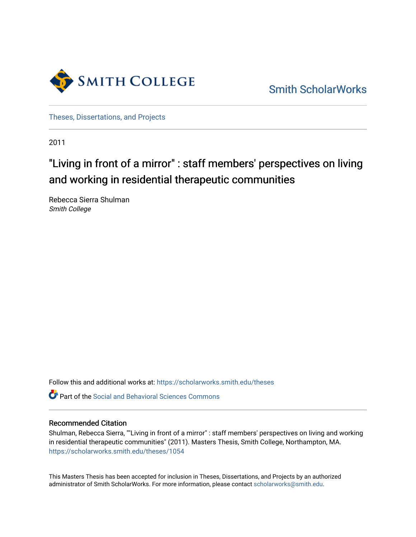

[Smith ScholarWorks](https://scholarworks.smith.edu/) 

[Theses, Dissertations, and Projects](https://scholarworks.smith.edu/theses) 

2011

# "Living in front of a mirror" : staff members' perspectives on living and working in residential therapeutic communities

Rebecca Sierra Shulman Smith College

Follow this and additional works at: [https://scholarworks.smith.edu/theses](https://scholarworks.smith.edu/theses?utm_source=scholarworks.smith.edu%2Ftheses%2F1054&utm_medium=PDF&utm_campaign=PDFCoverPages) 

**C** Part of the Social and Behavioral Sciences Commons

### Recommended Citation

Shulman, Rebecca Sierra, ""Living in front of a mirror" : staff members' perspectives on living and working in residential therapeutic communities" (2011). Masters Thesis, Smith College, Northampton, MA. [https://scholarworks.smith.edu/theses/1054](https://scholarworks.smith.edu/theses/1054?utm_source=scholarworks.smith.edu%2Ftheses%2F1054&utm_medium=PDF&utm_campaign=PDFCoverPages)

This Masters Thesis has been accepted for inclusion in Theses, Dissertations, and Projects by an authorized administrator of Smith ScholarWorks. For more information, please contact [scholarworks@smith.edu](mailto:scholarworks@smith.edu).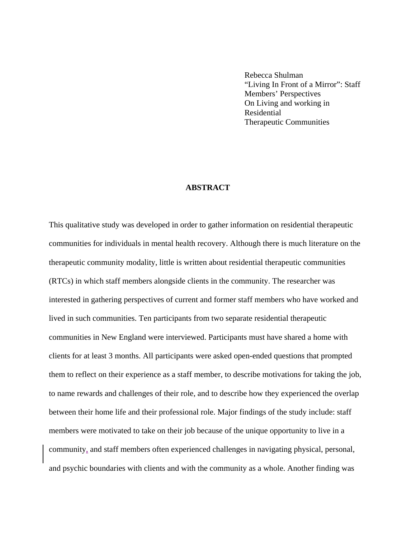Rebecca Shulman "Living In Front of a Mirror": Staff Members' Perspectives On Living and working in Residential Therapeutic Communities

## **ABSTRACT**

This qualitative study was developed in order to gather information on residential therapeutic communities for individuals in mental health recovery. Although there is much literature on the therapeutic community modality, little is written about residential therapeutic communities (RTCs) in which staff members alongside clients in the community. The researcher was interested in gathering perspectives of current and former staff members who have worked and lived in such communities. Ten participants from two separate residential therapeutic communities in New England were interviewed. Participants must have shared a home with clients for at least 3 months. All participants were asked open-ended questions that prompted them to reflect on their experience as a staff member, to describe motivations for taking the job, to name rewards and challenges of their role, and to describe how they experienced the overlap between their home life and their professional role. Major findings of the study include: staff members were motivated to take on their job because of the unique opportunity to live in a community, and staff members often experienced challenges in navigating physical, personal, and psychic boundaries with clients and with the community as a whole. Another finding was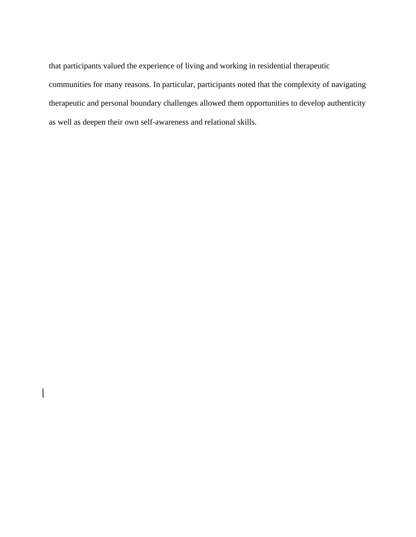that participants valued the experience of living and working in residential therapeutic communities for many reasons. In particular, participants noted that the complexity of navigating therapeutic and personal boundary challenges allowed them opportunities to develop authenticity as well as deepen their own self-awareness and relational skills.

 $\overline{\phantom{a}}$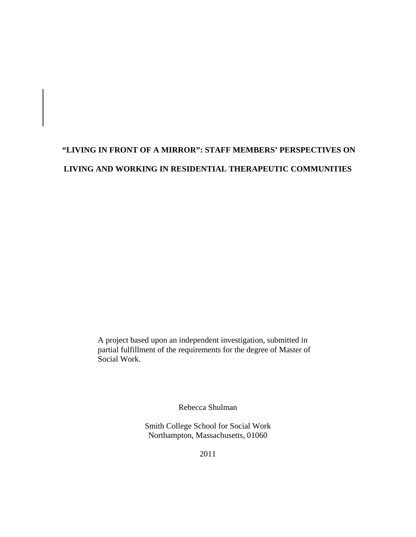# **"LIVING IN FRONT OF A MIRROR": STAFF MEMBERS' PERSPECTIVES ON LIVING AND WORKING IN RESIDENTIAL THERAPEUTIC COMMUNITIES**

A project based upon an independent investigation, submitted in partial fulfillment of the requirements for the degree of Master of Social Work.

Rebecca Shulman

Smith College School for Social Work Northampton, Massachusetts, 01060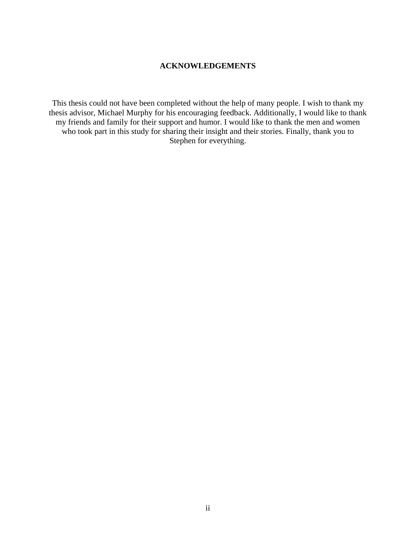## **ACKNOWLEDGEMENTS**

This thesis could not have been completed without the help of many people. I wish to thank my thesis advisor, Michael Murphy for his encouraging feedback. Additionally, I would like to thank my friends and family for their support and humor. I would like to thank the men and women who took part in this study for sharing their insight and their stories. Finally, thank you to Stephen for everything.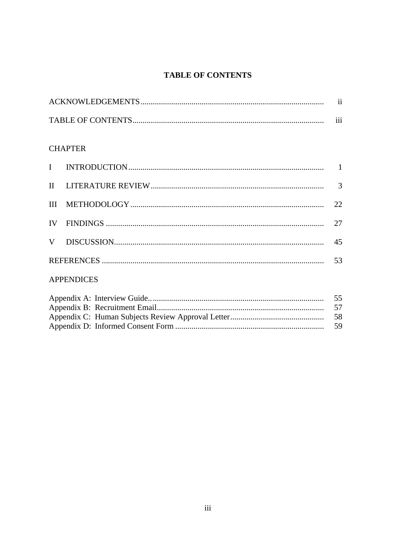## **TABLE OF CONTENTS**

| $\cdots$<br>111 |
|-----------------|

## **CHAPTER**

|  | 22 |
|--|----|
|  | 27 |
|  | 45 |
|  | 53 |
|  |    |

## **APPENDICES**

| 55 |
|----|
|    |
|    |
|    |
|    |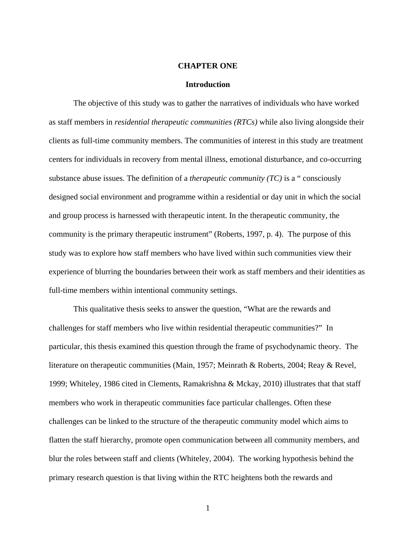#### **CHAPTER ONE**

#### **Introduction**

The objective of this study was to gather the narratives of individuals who have worked as staff members in *residential therapeutic communities (RTCs)* while also living alongside their clients as full-time community members. The communities of interest in this study are treatment centers for individuals in recovery from mental illness, emotional disturbance, and co-occurring substance abuse issues. The definition of a *therapeutic community (TC)* is a " consciously designed social environment and programme within a residential or day unit in which the social and group process is harnessed with therapeutic intent. In the therapeutic community, the community is the primary therapeutic instrument" (Roberts, 1997, p. 4). The purpose of this study was to explore how staff members who have lived within such communities view their experience of blurring the boundaries between their work as staff members and their identities as full-time members within intentional community settings.

This qualitative thesis seeks to answer the question, "What are the rewards and challenges for staff members who live within residential therapeutic communities?" In particular, this thesis examined this question through the frame of psychodynamic theory. The literature on therapeutic communities (Main, 1957; Meinrath & Roberts, 2004; Reay & Revel, 1999; Whiteley, 1986 cited in Clements, Ramakrishna & Mckay, 2010) illustrates that that staff members who work in therapeutic communities face particular challenges. Often these challenges can be linked to the structure of the therapeutic community model which aims to flatten the staff hierarchy, promote open communication between all community members, and blur the roles between staff and clients (Whiteley, 2004). The working hypothesis behind the primary research question is that living within the RTC heightens both the rewards and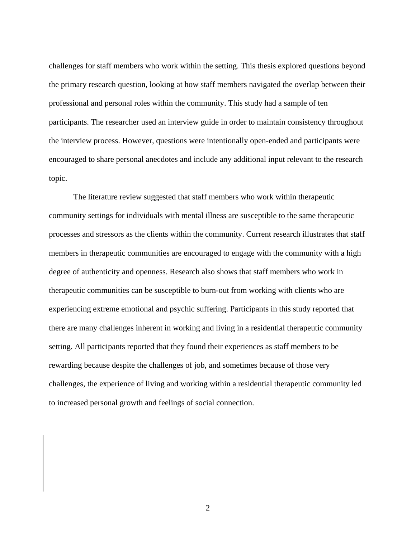challenges for staff members who work within the setting. This thesis explored questions beyond the primary research question, looking at how staff members navigated the overlap between their professional and personal roles within the community. This study had a sample of ten participants. The researcher used an interview guide in order to maintain consistency throughout the interview process. However, questions were intentionally open-ended and participants were encouraged to share personal anecdotes and include any additional input relevant to the research topic.

The literature review suggested that staff members who work within therapeutic community settings for individuals with mental illness are susceptible to the same therapeutic processes and stressors as the clients within the community. Current research illustrates that staff members in therapeutic communities are encouraged to engage with the community with a high degree of authenticity and openness. Research also shows that staff members who work in therapeutic communities can be susceptible to burn-out from working with clients who are experiencing extreme emotional and psychic suffering. Participants in this study reported that there are many challenges inherent in working and living in a residential therapeutic community setting. All participants reported that they found their experiences as staff members to be rewarding because despite the challenges of job, and sometimes because of those very challenges, the experience of living and working within a residential therapeutic community led to increased personal growth and feelings of social connection.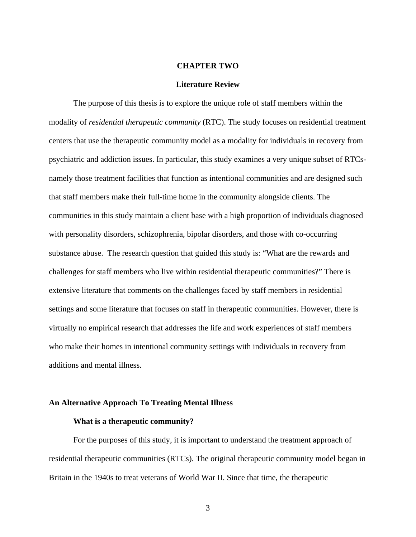#### **CHAPTER TWO**

#### **Literature Review**

The purpose of this thesis is to explore the unique role of staff members within the modality of *residential therapeutic community* (RTC). The study focuses on residential treatment centers that use the therapeutic community model as a modality for individuals in recovery from psychiatric and addiction issues. In particular, this study examines a very unique subset of RTCsnamely those treatment facilities that function as intentional communities and are designed such that staff members make their full-time home in the community alongside clients. The communities in this study maintain a client base with a high proportion of individuals diagnosed with personality disorders, schizophrenia, bipolar disorders, and those with co-occurring substance abuse. The research question that guided this study is: "What are the rewards and challenges for staff members who live within residential therapeutic communities?" There is extensive literature that comments on the challenges faced by staff members in residential settings and some literature that focuses on staff in therapeutic communities. However, there is virtually no empirical research that addresses the life and work experiences of staff members who make their homes in intentional community settings with individuals in recovery from additions and mental illness.

### **An Alternative Approach To Treating Mental Illness**

#### **What is a therapeutic community?**

For the purposes of this study, it is important to understand the treatment approach of residential therapeutic communities (RTCs). The original therapeutic community model began in Britain in the 1940s to treat veterans of World War II. Since that time, the therapeutic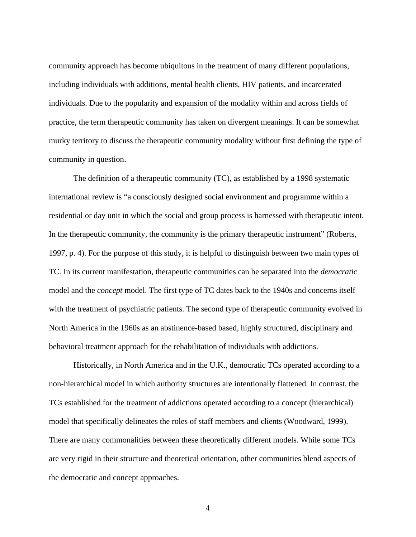community approach has become ubiquitous in the treatment of many different populations, including individuals with additions, mental health clients, HIV patients, and incarcerated individuals. Due to the popularity and expansion of the modality within and across fields of practice, the term therapeutic community has taken on divergent meanings. It can be somewhat murky territory to discuss the therapeutic community modality without first defining the type of community in question.

The definition of a therapeutic community (TC), as established by a 1998 systematic international review is "a consciously designed social environment and programme within a residential or day unit in which the social and group process is harnessed with therapeutic intent. In the therapeutic community, the community is the primary therapeutic instrument" (Roberts, 1997, p. 4). For the purpose of this study, it is helpful to distinguish between two main types of TC. In its current manifestation, therapeutic communities can be separated into the *democratic* model and the *concept* model. The first type of TC dates back to the 1940s and concerns itself with the treatment of psychiatric patients. The second type of therapeutic community evolved in North America in the 1960s as an abstinence-based based, highly structured, disciplinary and behavioral treatment approach for the rehabilitation of individuals with addictions.

Historically, in North America and in the U.K., democratic TCs operated according to a non-hierarchical model in which authority structures are intentionally flattened. In contrast, the TCs established for the treatment of addictions operated according to a concept (hierarchical) model that specifically delineates the roles of staff members and clients (Woodward, 1999). There are many commonalities between these theoretically different models. While some TCs are very rigid in their structure and theoretical orientation, other communities blend aspects of the democratic and concept approaches.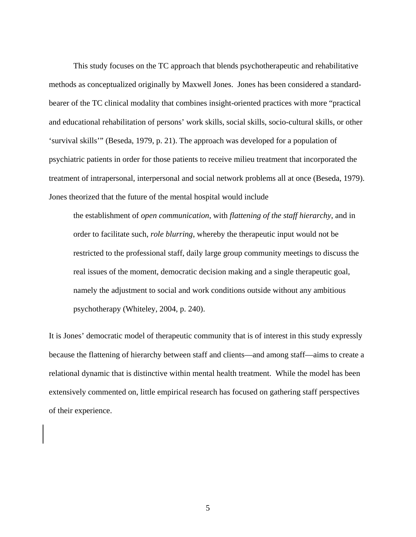This study focuses on the TC approach that blends psychotherapeutic and rehabilitative methods as conceptualized originally by Maxwell Jones. Jones has been considered a standardbearer of the TC clinical modality that combines insight-oriented practices with more "practical and educational rehabilitation of persons' work skills, social skills, socio-cultural skills, or other 'survival skills'" (Beseda, 1979, p. 21). The approach was developed for a population of psychiatric patients in order for those patients to receive milieu treatment that incorporated the treatment of intrapersonal, interpersonal and social network problems all at once (Beseda, 1979). Jones theorized that the future of the mental hospital would include

the establishment of *open communication*, with *flattening of the staff hierarchy*, and in order to facilitate such, *role blurring*, whereby the therapeutic input would not be restricted to the professional staff, daily large group community meetings to discuss the real issues of the moment, democratic decision making and a single therapeutic goal, namely the adjustment to social and work conditions outside without any ambitious psychotherapy (Whiteley, 2004, p. 240).

It is Jones' democratic model of therapeutic community that is of interest in this study expressly because the flattening of hierarchy between staff and clients—and among staff—aims to create a relational dynamic that is distinctive within mental health treatment. While the model has been extensively commented on, little empirical research has focused on gathering staff perspectives of their experience.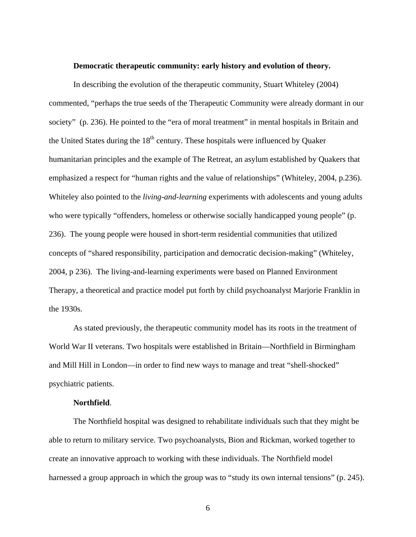#### **Democratic therapeutic community: early history and evolution of theory.**

In describing the evolution of the therapeutic community, Stuart Whiteley (2004) commented, "perhaps the true seeds of the Therapeutic Community were already dormant in our society" (p. 236). He pointed to the "era of moral treatment" in mental hospitals in Britain and the United States during the  $18<sup>th</sup>$  century. These hospitals were influenced by Quaker humanitarian principles and the example of The Retreat, an asylum established by Quakers that emphasized a respect for "human rights and the value of relationships" (Whiteley, 2004, p.236). Whiteley also pointed to the *living-and-learning* experiments with adolescents and young adults who were typically "offenders, homeless or otherwise socially handicapped young people" (p. 236). The young people were housed in short-term residential communities that utilized concepts of "shared responsibility, participation and democratic decision-making" (Whiteley, 2004, p 236). The living-and-learning experiments were based on Planned Environment Therapy, a theoretical and practice model put forth by child psychoanalyst Marjorie Franklin in the 1930s.

As stated previously, the therapeutic community model has its roots in the treatment of World War II veterans. Two hospitals were established in Britain—Northfield in Birmingham and Mill Hill in London—in order to find new ways to manage and treat "shell-shocked" psychiatric patients.

## **Northfield**.

The Northfield hospital was designed to rehabilitate individuals such that they might be able to return to military service. Two psychoanalysts, Bion and Rickman, worked together to create an innovative approach to working with these individuals. The Northfield model harnessed a group approach in which the group was to "study its own internal tensions" (p. 245).

 $\sim$  6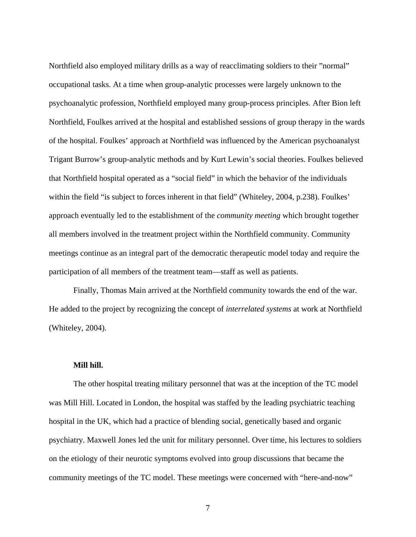Northfield also employed military drills as a way of reacclimating soldiers to their "normal" occupational tasks. At a time when group-analytic processes were largely unknown to the psychoanalytic profession, Northfield employed many group-process principles. After Bion left Northfield, Foulkes arrived at the hospital and established sessions of group therapy in the wards of the hospital. Foulkes' approach at Northfield was influenced by the American psychoanalyst Trigant Burrow's group-analytic methods and by Kurt Lewin's social theories. Foulkes believed that Northfield hospital operated as a "social field" in which the behavior of the individuals within the field "is subject to forces inherent in that field" (Whiteley, 2004, p.238). Foulkes' approach eventually led to the establishment of the *community meeting* which brought together all members involved in the treatment project within the Northfield community. Community meetings continue as an integral part of the democratic therapeutic model today and require the participation of all members of the treatment team—staff as well as patients.

Finally, Thomas Main arrived at the Northfield community towards the end of the war. He added to the project by recognizing the concept of *interrelated systems* at work at Northfield (Whiteley, 2004).

### **Mill hill.**

The other hospital treating military personnel that was at the inception of the TC model was Mill Hill. Located in London, the hospital was staffed by the leading psychiatric teaching hospital in the UK, which had a practice of blending social, genetically based and organic psychiatry. Maxwell Jones led the unit for military personnel. Over time, his lectures to soldiers on the etiology of their neurotic symptoms evolved into group discussions that became the community meetings of the TC model. These meetings were concerned with "here-and-now"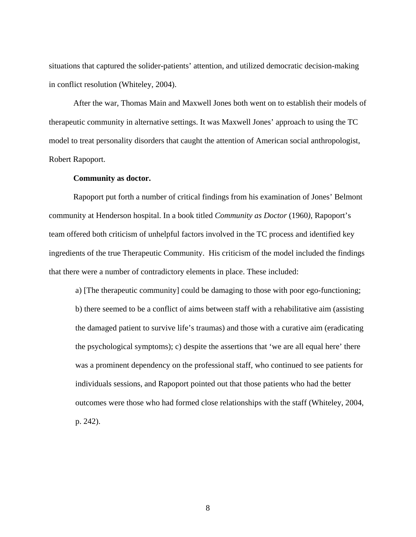situations that captured the solider-patients' attention, and utilized democratic decision-making in conflict resolution (Whiteley, 2004).

After the war, Thomas Main and Maxwell Jones both went on to establish their models of therapeutic community in alternative settings. It was Maxwell Jones' approach to using the TC model to treat personality disorders that caught the attention of American social anthropologist, Robert Rapoport.

#### **Community as doctor.**

Rapoport put forth a number of critical findings from his examination of Jones' Belmont community at Henderson hospital. In a book titled *Community as Doctor* (1960*)*, Rapoport's team offered both criticism of unhelpful factors involved in the TC process and identified key ingredients of the true Therapeutic Community. His criticism of the model included the findings that there were a number of contradictory elements in place. These included:

a) [The therapeutic community] could be damaging to those with poor ego-functioning; b) there seemed to be a conflict of aims between staff with a rehabilitative aim (assisting the damaged patient to survive life's traumas) and those with a curative aim (eradicating the psychological symptoms); c) despite the assertions that 'we are all equal here' there was a prominent dependency on the professional staff, who continued to see patients for individuals sessions, and Rapoport pointed out that those patients who had the better outcomes were those who had formed close relationships with the staff (Whiteley, 2004, p. 242).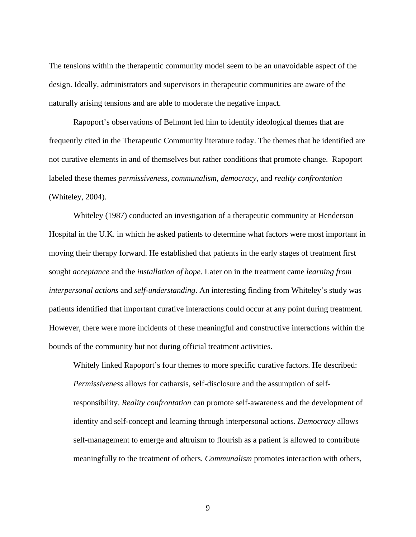The tensions within the therapeutic community model seem to be an unavoidable aspect of the design. Ideally, administrators and supervisors in therapeutic communities are aware of the naturally arising tensions and are able to moderate the negative impact.

Rapoport's observations of Belmont led him to identify ideological themes that are frequently cited in the Therapeutic Community literature today. The themes that he identified are not curative elements in and of themselves but rather conditions that promote change. Rapoport labeled these themes *permissiveness*, *communalism*, *democracy*, and *reality confrontation* (Whiteley, 2004).

Whiteley (1987) conducted an investigation of a therapeutic community at Henderson Hospital in the U.K. in which he asked patients to determine what factors were most important in moving their therapy forward. He established that patients in the early stages of treatment first sought *acceptance* and the *installation of hope*. Later on in the treatment came *learning from interpersonal actions* and *self-understanding*. An interesting finding from Whiteley's study was patients identified that important curative interactions could occur at any point during treatment. However, there were more incidents of these meaningful and constructive interactions within the bounds of the community but not during official treatment activities.

Whitely linked Rapoport's four themes to more specific curative factors. He described: *Permissiveness* allows for catharsis, self-disclosure and the assumption of selfresponsibility. *Reality confrontation* can promote self-awareness and the development of identity and self-concept and learning through interpersonal actions. *Democracy* allows self-management to emerge and altruism to flourish as a patient is allowed to contribute meaningfully to the treatment of others. *Communalism* promotes interaction with others,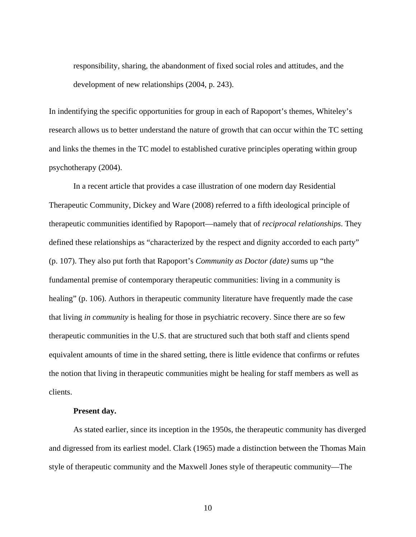responsibility, sharing, the abandonment of fixed social roles and attitudes, and the development of new relationships (2004, p. 243).

In indentifying the specific opportunities for group in each of Rapoport's themes, Whiteley's research allows us to better understand the nature of growth that can occur within the TC setting and links the themes in the TC model to established curative principles operating within group psychotherapy (2004).

In a recent article that provides a case illustration of one modern day Residential Therapeutic Community, Dickey and Ware (2008) referred to a fifth ideological principle of therapeutic communities identified by Rapoport—namely that of *reciprocal relationships*. They defined these relationships as "characterized by the respect and dignity accorded to each party" (p. 107). They also put forth that Rapoport's *Community as Doctor (date)* sums up "the fundamental premise of contemporary therapeutic communities: living in a community is healing" (p. 106). Authors in therapeutic community literature have frequently made the case that living *in community* is healing for those in psychiatric recovery. Since there are so few therapeutic communities in the U.S. that are structured such that both staff and clients spend equivalent amounts of time in the shared setting, there is little evidence that confirms or refutes the notion that living in therapeutic communities might be healing for staff members as well as clients.

## **Present day.**

As stated earlier, since its inception in the 1950s, the therapeutic community has diverged and digressed from its earliest model. Clark (1965) made a distinction between the Thomas Main style of therapeutic community and the Maxwell Jones style of therapeutic community—The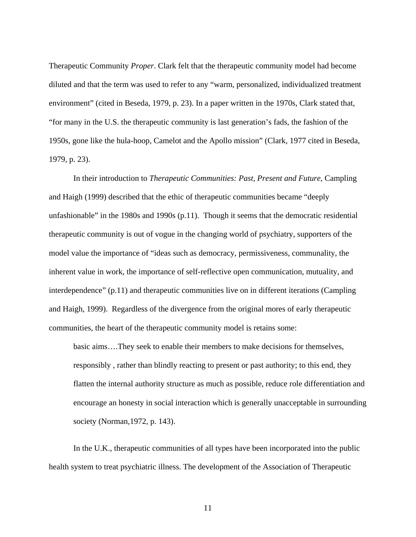Therapeutic Community *Proper*. Clark felt that the therapeutic community model had become diluted and that the term was used to refer to any "warm, personalized, individualized treatment environment" (cited in Beseda, 1979, p. 23). In a paper written in the 1970s, Clark stated that, "for many in the U.S. the therapeutic community is last generation's fads, the fashion of the 1950s, gone like the hula-hoop, Camelot and the Apollo mission" (Clark, 1977 cited in Beseda, 1979, p. 23).

In their introduction to *Therapeutic Communities: Past, Present and Future*, Campling and Haigh (1999) described that the ethic of therapeutic communities became "deeply unfashionable" in the 1980s and 1990s (p.11). Though it seems that the democratic residential therapeutic community is out of vogue in the changing world of psychiatry, supporters of the model value the importance of "ideas such as democracy, permissiveness, communality, the inherent value in work, the importance of self-reflective open communication, mutuality, and interdependence" (p.11) and therapeutic communities live on in different iterations (Campling and Haigh, 1999). Regardless of the divergence from the original mores of early therapeutic communities, the heart of the therapeutic community model is retains some:

basic aims….They seek to enable their members to make decisions for themselves, responsibly , rather than blindly reacting to present or past authority; to this end, they flatten the internal authority structure as much as possible, reduce role differentiation and encourage an honesty in social interaction which is generally unacceptable in surrounding society (Norman,1972, p. 143).

In the U.K., therapeutic communities of all types have been incorporated into the public health system to treat psychiatric illness. The development of the Association of Therapeutic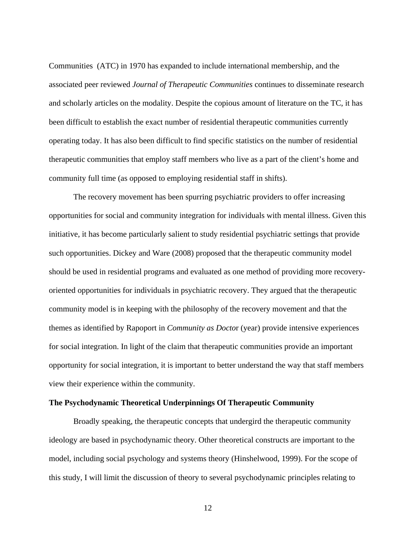Communities (ATC) in 1970 has expanded to include international membership, and the associated peer reviewed *Journal of Therapeutic Communities* continues to disseminate research and scholarly articles on the modality. Despite the copious amount of literature on the TC, it has been difficult to establish the exact number of residential therapeutic communities currently operating today. It has also been difficult to find specific statistics on the number of residential therapeutic communities that employ staff members who live as a part of the client's home and community full time (as opposed to employing residential staff in shifts).

The recovery movement has been spurring psychiatric providers to offer increasing opportunities for social and community integration for individuals with mental illness. Given this initiative, it has become particularly salient to study residential psychiatric settings that provide such opportunities. Dickey and Ware (2008) proposed that the therapeutic community model should be used in residential programs and evaluated as one method of providing more recoveryoriented opportunities for individuals in psychiatric recovery. They argued that the therapeutic community model is in keeping with the philosophy of the recovery movement and that the themes as identified by Rapoport in *Community as Docto*r (year) provide intensive experiences for social integration. In light of the claim that therapeutic communities provide an important opportunity for social integration, it is important to better understand the way that staff members view their experience within the community.

## **The Psychodynamic Theoretical Underpinnings Of Therapeutic Community**

Broadly speaking, the therapeutic concepts that undergird the therapeutic community ideology are based in psychodynamic theory. Other theoretical constructs are important to the model, including social psychology and systems theory (Hinshelwood, 1999). For the scope of this study, I will limit the discussion of theory to several psychodynamic principles relating to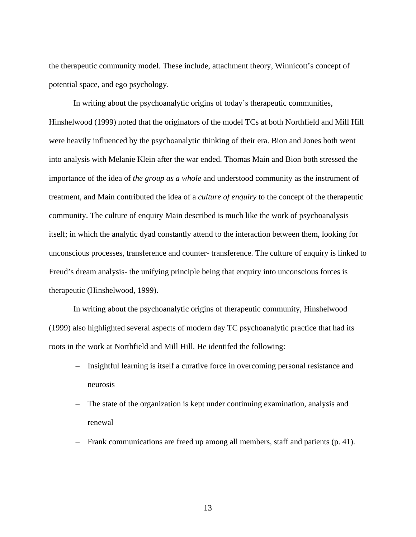the therapeutic community model. These include, attachment theory, Winnicott's concept of potential space, and ego psychology.

In writing about the psychoanalytic origins of today's therapeutic communities, Hinshelwood (1999) noted that the originators of the model TCs at both Northfield and Mill Hill were heavily influenced by the psychoanalytic thinking of their era. Bion and Jones both went into analysis with Melanie Klein after the war ended. Thomas Main and Bion both stressed the importance of the idea of *the group as a whole* and understood community as the instrument of treatment, and Main contributed the idea of a *culture of enquiry* to the concept of the therapeutic community. The culture of enquiry Main described is much like the work of psychoanalysis itself; in which the analytic dyad constantly attend to the interaction between them, looking for unconscious processes, transference and counter- transference. The culture of enquiry is linked to Freud's dream analysis- the unifying principle being that enquiry into unconscious forces is therapeutic (Hinshelwood, 1999).

In writing about the psychoanalytic origins of therapeutic community, Hinshelwood (1999) also highlighted several aspects of modern day TC psychoanalytic practice that had its roots in the work at Northfield and Mill Hill. He identifed the following:

- Insightful learning is itself a curative force in overcoming personal resistance and neurosis
- The state of the organization is kept under continuing examination, analysis and renewal
- Frank communications are freed up among all members, staff and patients (p. 41).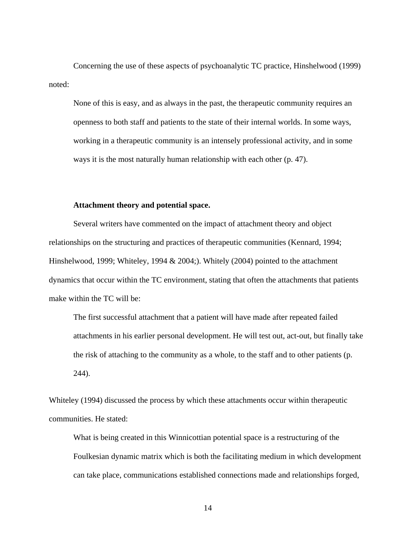Concerning the use of these aspects of psychoanalytic TC practice, Hinshelwood (1999) noted:

None of this is easy, and as always in the past, the therapeutic community requires an openness to both staff and patients to the state of their internal worlds. In some ways, working in a therapeutic community is an intensely professional activity, and in some ways it is the most naturally human relationship with each other (p. 47).

## **Attachment theory and potential space.**

Several writers have commented on the impact of attachment theory and object relationships on the structuring and practices of therapeutic communities (Kennard, 1994; Hinshelwood, 1999; Whiteley, 1994  $& 2004$ ; Whitely (2004) pointed to the attachment dynamics that occur within the TC environment, stating that often the attachments that patients make within the TC will be:

The first successful attachment that a patient will have made after repeated failed attachments in his earlier personal development. He will test out, act-out, but finally take the risk of attaching to the community as a whole, to the staff and to other patients (p. 244).

Whiteley (1994) discussed the process by which these attachments occur within therapeutic communities. He stated:

What is being created in this Winnicottian potential space is a restructuring of the Foulkesian dynamic matrix which is both the facilitating medium in which development can take place, communications established connections made and relationships forged,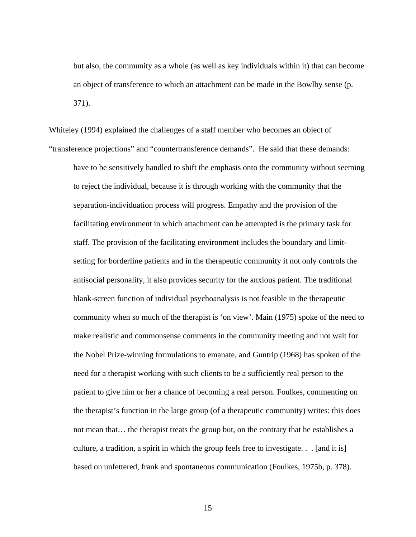but also, the community as a whole (as well as key individuals within it) that can become an object of transference to which an attachment can be made in the Bowlby sense (p. 371).

Whiteley (1994) explained the challenges of a staff member who becomes an object of "transference projections" and "countertransference demands". He said that these demands: have to be sensitively handled to shift the emphasis onto the community without seeming to reject the individual, because it is through working with the community that the separation-individuation process will progress. Empathy and the provision of the facilitating environment in which attachment can be attempted is the primary task for staff. The provision of the facilitating environment includes the boundary and limitsetting for borderline patients and in the therapeutic community it not only controls the antisocial personality, it also provides security for the anxious patient. The traditional blank-screen function of individual psychoanalysis is not feasible in the therapeutic community when so much of the therapist is 'on view'. Main (1975) spoke of the need to make realistic and commonsense comments in the community meeting and not wait for the Nobel Prize-winning formulations to emanate, and Guntrip (1968) has spoken of the need for a therapist working with such clients to be a sufficiently real person to the patient to give him or her a chance of becoming a real person. Foulkes, commenting on the therapist's function in the large group (of a therapeutic community) writes: this does not mean that… the therapist treats the group but, on the contrary that he establishes a culture, a tradition, a spirit in which the group feels free to investigate. . . [and it is] based on unfettered, frank and spontaneous communication (Foulkes, 1975b, p. 378).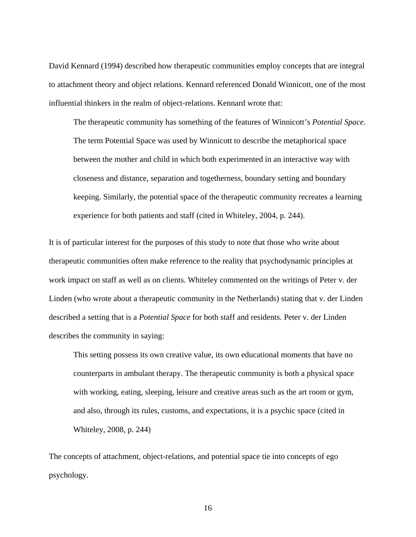David Kennard (1994) described how therapeutic communities employ concepts that are integral to attachment theory and object relations. Kennard referenced Donald Winnicott, one of the most influential thinkers in the realm of object-relations. Kennard wrote that:

The therapeutic community has something of the features of Winnicott's *Potential Space*. The term Potential Space was used by Winnicott to describe the metaphorical space between the mother and child in which both experimented in an interactive way with closeness and distance, separation and togetherness, boundary setting and boundary keeping. Similarly, the potential space of the therapeutic community recreates a learning experience for both patients and staff (cited in Whiteley, 2004, p. 244).

It is of particular interest for the purposes of this study to note that those who write about therapeutic communities often make reference to the reality that psychodynamic principles at work impact on staff as well as on clients. Whiteley commented on the writings of Peter v. der Linden (who wrote about a therapeutic community in the Netherlands) stating that v. der Linden described a setting that is a *Potential Space* for both staff and residents. Peter v. der Linden describes the community in saying:

This setting possess its own creative value, its own educational moments that have no counterparts in ambulant therapy. The therapeutic community is both a physical space with working, eating, sleeping, leisure and creative areas such as the art room or gym, and also, through its rules, customs, and expectations, it is a psychic space (cited in Whiteley, 2008, p. 244)

The concepts of attachment, object-relations, and potential space tie into concepts of ego psychology.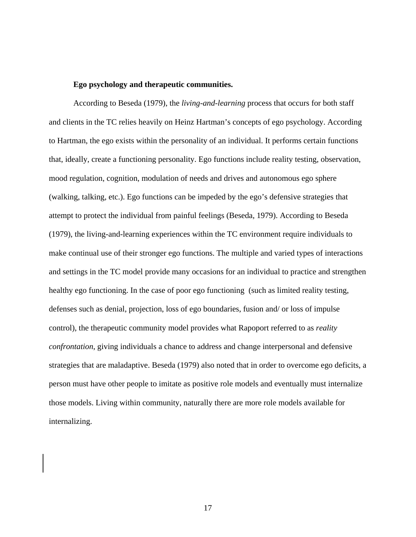#### **Ego psychology and therapeutic communities.**

According to Beseda (1979), the *living-and-learning* process that occurs for both staff and clients in the TC relies heavily on Heinz Hartman's concepts of ego psychology. According to Hartman, the ego exists within the personality of an individual. It performs certain functions that, ideally, create a functioning personality. Ego functions include reality testing, observation, mood regulation, cognition, modulation of needs and drives and autonomous ego sphere (walking, talking, etc.). Ego functions can be impeded by the ego's defensive strategies that attempt to protect the individual from painful feelings (Beseda, 1979). According to Beseda (1979), the living-and-learning experiences within the TC environment require individuals to make continual use of their stronger ego functions. The multiple and varied types of interactions and settings in the TC model provide many occasions for an individual to practice and strengthen healthy ego functioning. In the case of poor ego functioning (such as limited reality testing, defenses such as denial, projection, loss of ego boundaries, fusion and/ or loss of impulse control), the therapeutic community model provides what Rapoport referred to as *reality confrontation*, giving individuals a chance to address and change interpersonal and defensive strategies that are maladaptive. Beseda (1979) also noted that in order to overcome ego deficits, a person must have other people to imitate as positive role models and eventually must internalize those models. Living within community, naturally there are more role models available for internalizing.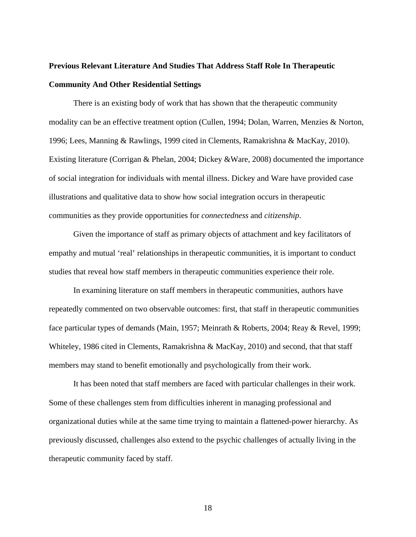# **Previous Relevant Literature And Studies That Address Staff Role In Therapeutic Community And Other Residential Settings**

There is an existing body of work that has shown that the therapeutic community modality can be an effective treatment option (Cullen, 1994; Dolan, Warren, Menzies & Norton, 1996; Lees, Manning & Rawlings, 1999 cited in Clements, Ramakrishna & MacKay, 2010). Existing literature (Corrigan & Phelan, 2004; Dickey &Ware, 2008) documented the importance of social integration for individuals with mental illness. Dickey and Ware have provided case illustrations and qualitative data to show how social integration occurs in therapeutic communities as they provide opportunities for *connectedness* and *citizenship*.

Given the importance of staff as primary objects of attachment and key facilitators of empathy and mutual 'real' relationships in therapeutic communities, it is important to conduct studies that reveal how staff members in therapeutic communities experience their role.

In examining literature on staff members in therapeutic communities, authors have repeatedly commented on two observable outcomes: first, that staff in therapeutic communities face particular types of demands (Main, 1957; Meinrath & Roberts, 2004; Reay & Revel, 1999; Whiteley, 1986 cited in Clements, Ramakrishna & MacKay, 2010) and second, that that staff members may stand to benefit emotionally and psychologically from their work.

It has been noted that staff members are faced with particular challenges in their work. Some of these challenges stem from difficulties inherent in managing professional and organizational duties while at the same time trying to maintain a flattened-power hierarchy. As previously discussed, challenges also extend to the psychic challenges of actually living in the therapeutic community faced by staff.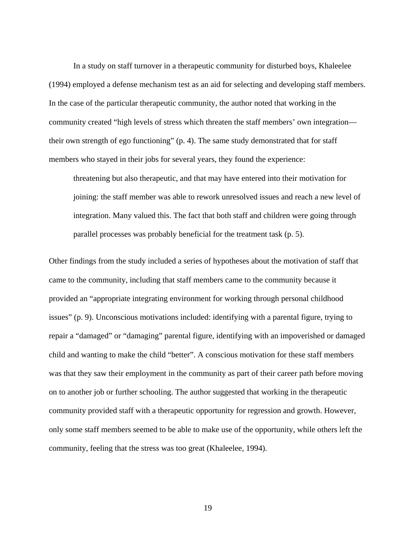In a study on staff turnover in a therapeutic community for disturbed boys, Khaleelee (1994) employed a defense mechanism test as an aid for selecting and developing staff members. In the case of the particular therapeutic community, the author noted that working in the community created "high levels of stress which threaten the staff members' own integration their own strength of ego functioning" (p. 4). The same study demonstrated that for staff members who stayed in their jobs for several years, they found the experience:

threatening but also therapeutic, and that may have entered into their motivation for joining: the staff member was able to rework unresolved issues and reach a new level of integration. Many valued this. The fact that both staff and children were going through parallel processes was probably beneficial for the treatment task (p. 5).

Other findings from the study included a series of hypotheses about the motivation of staff that came to the community, including that staff members came to the community because it provided an "appropriate integrating environment for working through personal childhood issues" (p. 9). Unconscious motivations included: identifying with a parental figure, trying to repair a "damaged" or "damaging" parental figure, identifying with an impoverished or damaged child and wanting to make the child "better". A conscious motivation for these staff members was that they saw their employment in the community as part of their career path before moving on to another job or further schooling. The author suggested that working in the therapeutic community provided staff with a therapeutic opportunity for regression and growth. However, only some staff members seemed to be able to make use of the opportunity, while others left the community, feeling that the stress was too great (Khaleelee, 1994).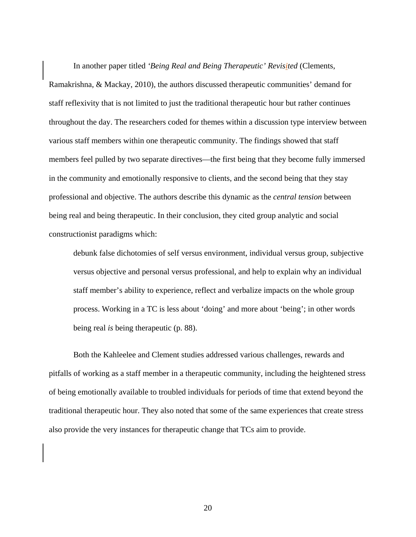In another paper titled *'Being Real and Being Therapeutic' Revisited* (Clements, Ramakrishna, & Mackay, 2010)*,* the authors discussed therapeutic communities' demand for staff reflexivity that is not limited to just the traditional therapeutic hour but rather continues throughout the day. The researchers coded for themes within a discussion type interview between various staff members within one therapeutic community. The findings showed that staff members feel pulled by two separate directives—the first being that they become fully immersed in the community and emotionally responsive to clients, and the second being that they stay professional and objective. The authors describe this dynamic as the *central tension* between being real and being therapeutic. In their conclusion, they cited group analytic and social constructionist paradigms which:

debunk false dichotomies of self versus environment, individual versus group, subjective versus objective and personal versus professional, and help to explain why an individual staff member's ability to experience, reflect and verbalize impacts on the whole group process. Working in a TC is less about 'doing' and more about 'being'; in other words being real *is* being therapeutic (p. 88).

 Both the Kahleelee and Clement studies addressed various challenges, rewards and pitfalls of working as a staff member in a therapeutic community, including the heightened stress of being emotionally available to troubled individuals for periods of time that extend beyond the traditional therapeutic hour. They also noted that some of the same experiences that create stress also provide the very instances for therapeutic change that TCs aim to provide.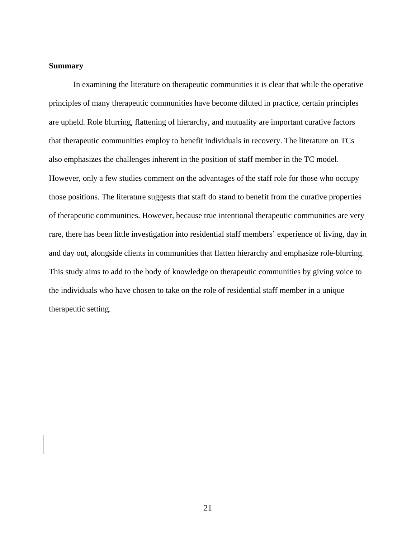## **Summary**

In examining the literature on therapeutic communities it is clear that while the operative principles of many therapeutic communities have become diluted in practice, certain principles are upheld. Role blurring, flattening of hierarchy, and mutuality are important curative factors that therapeutic communities employ to benefit individuals in recovery. The literature on TCs also emphasizes the challenges inherent in the position of staff member in the TC model. However, only a few studies comment on the advantages of the staff role for those who occupy those positions. The literature suggests that staff do stand to benefit from the curative properties of therapeutic communities. However, because true intentional therapeutic communities are very rare, there has been little investigation into residential staff members' experience of living, day in and day out, alongside clients in communities that flatten hierarchy and emphasize role-blurring. This study aims to add to the body of knowledge on therapeutic communities by giving voice to the individuals who have chosen to take on the role of residential staff member in a unique therapeutic setting.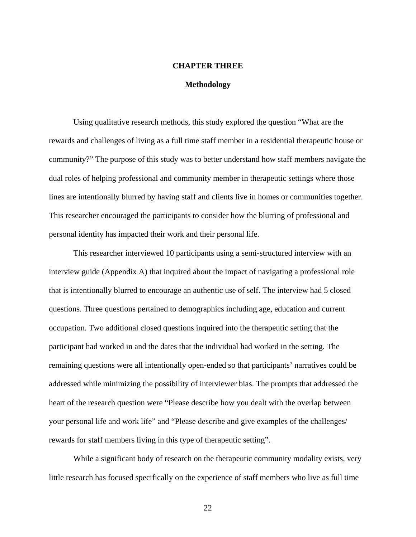## **CHAPTER THREE**

#### **Methodology**

Using qualitative research methods, this study explored the question "What are the rewards and challenges of living as a full time staff member in a residential therapeutic house or community?" The purpose of this study was to better understand how staff members navigate the dual roles of helping professional and community member in therapeutic settings where those lines are intentionally blurred by having staff and clients live in homes or communities together. This researcher encouraged the participants to consider how the blurring of professional and personal identity has impacted their work and their personal life.

This researcher interviewed 10 participants using a semi-structured interview with an interview guide (Appendix A) that inquired about the impact of navigating a professional role that is intentionally blurred to encourage an authentic use of self. The interview had 5 closed questions. Three questions pertained to demographics including age, education and current occupation. Two additional closed questions inquired into the therapeutic setting that the participant had worked in and the dates that the individual had worked in the setting. The remaining questions were all intentionally open-ended so that participants' narratives could be addressed while minimizing the possibility of interviewer bias. The prompts that addressed the heart of the research question were "Please describe how you dealt with the overlap between your personal life and work life" and "Please describe and give examples of the challenges/ rewards for staff members living in this type of therapeutic setting".

While a significant body of research on the therapeutic community modality exists, very little research has focused specifically on the experience of staff members who live as full time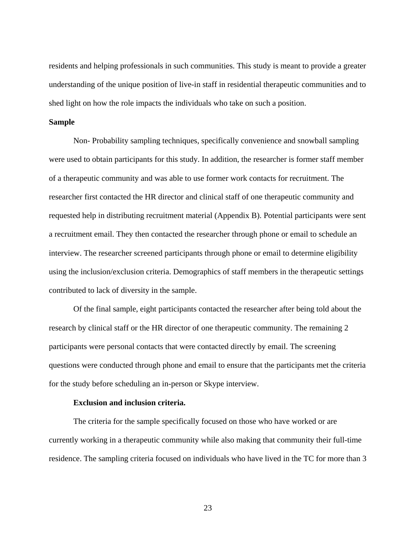residents and helping professionals in such communities. This study is meant to provide a greater understanding of the unique position of live-in staff in residential therapeutic communities and to shed light on how the role impacts the individuals who take on such a position.

#### **Sample**

Non- Probability sampling techniques, specifically convenience and snowball sampling were used to obtain participants for this study. In addition, the researcher is former staff member of a therapeutic community and was able to use former work contacts for recruitment. The researcher first contacted the HR director and clinical staff of one therapeutic community and requested help in distributing recruitment material (Appendix B). Potential participants were sent a recruitment email. They then contacted the researcher through phone or email to schedule an interview. The researcher screened participants through phone or email to determine eligibility using the inclusion/exclusion criteria. Demographics of staff members in the therapeutic settings contributed to lack of diversity in the sample.

 Of the final sample, eight participants contacted the researcher after being told about the research by clinical staff or the HR director of one therapeutic community. The remaining 2 participants were personal contacts that were contacted directly by email. The screening questions were conducted through phone and email to ensure that the participants met the criteria for the study before scheduling an in-person or Skype interview.

## **Exclusion and inclusion criteria.**

The criteria for the sample specifically focused on those who have worked or are currently working in a therapeutic community while also making that community their full-time residence. The sampling criteria focused on individuals who have lived in the TC for more than 3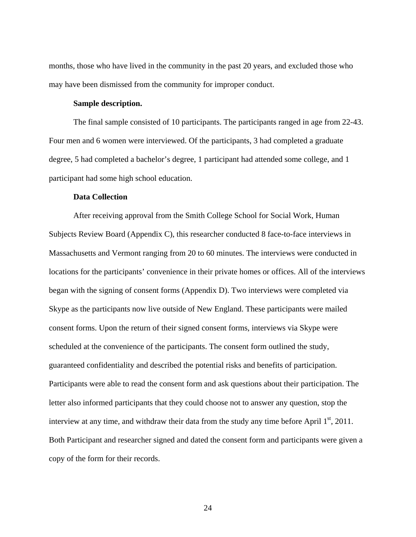months, those who have lived in the community in the past 20 years, and excluded those who may have been dismissed from the community for improper conduct.

#### **Sample description.**

The final sample consisted of 10 participants. The participants ranged in age from 22-43. Four men and 6 women were interviewed. Of the participants, 3 had completed a graduate degree, 5 had completed a bachelor's degree, 1 participant had attended some college, and 1 participant had some high school education.

#### **Data Collection**

After receiving approval from the Smith College School for Social Work, Human Subjects Review Board (Appendix C), this researcher conducted 8 face-to-face interviews in Massachusetts and Vermont ranging from 20 to 60 minutes. The interviews were conducted in locations for the participants' convenience in their private homes or offices. All of the interviews began with the signing of consent forms (Appendix D). Two interviews were completed via Skype as the participants now live outside of New England. These participants were mailed consent forms. Upon the return of their signed consent forms, interviews via Skype were scheduled at the convenience of the participants. The consent form outlined the study, guaranteed confidentiality and described the potential risks and benefits of participation. Participants were able to read the consent form and ask questions about their participation. The letter also informed participants that they could choose not to answer any question, stop the interview at any time, and withdraw their data from the study any time before April  $1<sup>st</sup>$ , 2011. Both Participant and researcher signed and dated the consent form and participants were given a copy of the form for their records.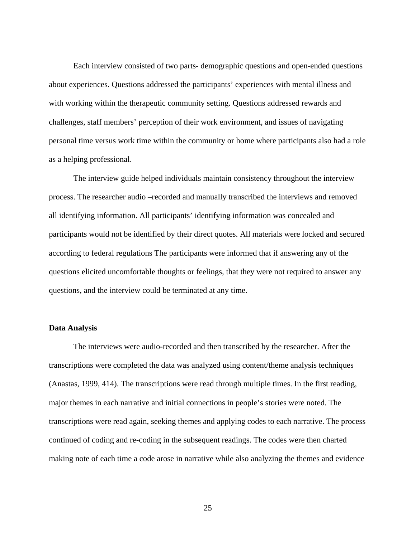Each interview consisted of two parts- demographic questions and open-ended questions about experiences. Questions addressed the participants' experiences with mental illness and with working within the therapeutic community setting. Questions addressed rewards and challenges, staff members' perception of their work environment, and issues of navigating personal time versus work time within the community or home where participants also had a role as a helping professional.

The interview guide helped individuals maintain consistency throughout the interview process. The researcher audio –recorded and manually transcribed the interviews and removed all identifying information. All participants' identifying information was concealed and participants would not be identified by their direct quotes. All materials were locked and secured according to federal regulations The participants were informed that if answering any of the questions elicited uncomfortable thoughts or feelings, that they were not required to answer any questions, and the interview could be terminated at any time.

### **Data Analysis**

The interviews were audio-recorded and then transcribed by the researcher. After the transcriptions were completed the data was analyzed using content/theme analysis techniques (Anastas, 1999, 414). The transcriptions were read through multiple times. In the first reading, major themes in each narrative and initial connections in people's stories were noted. The transcriptions were read again, seeking themes and applying codes to each narrative. The process continued of coding and re-coding in the subsequent readings. The codes were then charted making note of each time a code arose in narrative while also analyzing the themes and evidence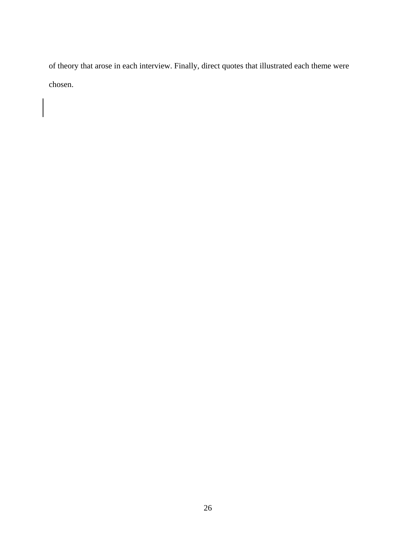of theory that arose in each interview. Finally, direct quotes that illustrated each theme were chosen.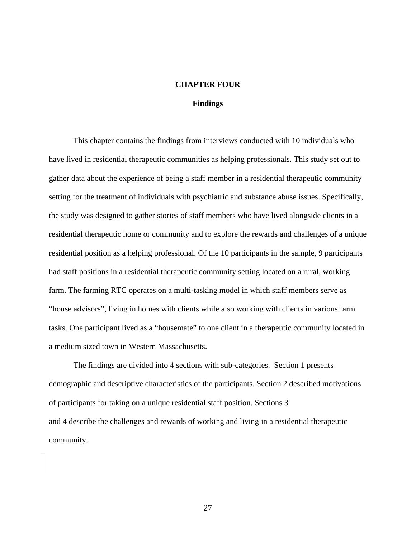#### **CHAPTER FOUR**

#### **Findings**

This chapter contains the findings from interviews conducted with 10 individuals who have lived in residential therapeutic communities as helping professionals. This study set out to gather data about the experience of being a staff member in a residential therapeutic community setting for the treatment of individuals with psychiatric and substance abuse issues. Specifically, the study was designed to gather stories of staff members who have lived alongside clients in a residential therapeutic home or community and to explore the rewards and challenges of a unique residential position as a helping professional. Of the 10 participants in the sample, 9 participants had staff positions in a residential therapeutic community setting located on a rural, working farm. The farming RTC operates on a multi-tasking model in which staff members serve as "house advisors", living in homes with clients while also working with clients in various farm tasks. One participant lived as a "housemate" to one client in a therapeutic community located in a medium sized town in Western Massachusetts.

The findings are divided into 4 sections with sub-categories. Section 1 presents demographic and descriptive characteristics of the participants. Section 2 described motivations of participants for taking on a unique residential staff position. Sections 3 and 4 describe the challenges and rewards of working and living in a residential therapeutic community.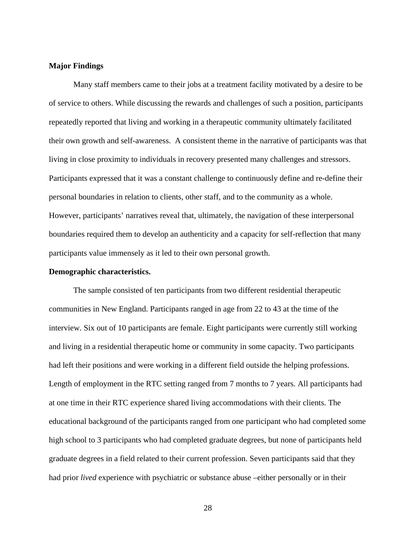#### **Major Findings**

Many staff members came to their jobs at a treatment facility motivated by a desire to be of service to others. While discussing the rewards and challenges of such a position, participants repeatedly reported that living and working in a therapeutic community ultimately facilitated their own growth and self-awareness. A consistent theme in the narrative of participants was that living in close proximity to individuals in recovery presented many challenges and stressors. Participants expressed that it was a constant challenge to continuously define and re-define their personal boundaries in relation to clients, other staff, and to the community as a whole. However, participants' narratives reveal that, ultimately, the navigation of these interpersonal boundaries required them to develop an authenticity and a capacity for self-reflection that many participants value immensely as it led to their own personal growth.

#### **Demographic characteristics.**

The sample consisted of ten participants from two different residential therapeutic communities in New England. Participants ranged in age from 22 to 43 at the time of the interview. Six out of 10 participants are female. Eight participants were currently still working and living in a residential therapeutic home or community in some capacity. Two participants had left their positions and were working in a different field outside the helping professions. Length of employment in the RTC setting ranged from 7 months to 7 years. All participants had at one time in their RTC experience shared living accommodations with their clients. The educational background of the participants ranged from one participant who had completed some high school to 3 participants who had completed graduate degrees, but none of participants held graduate degrees in a field related to their current profession. Seven participants said that they had prior *lived* experience with psychiatric or substance abuse –either personally or in their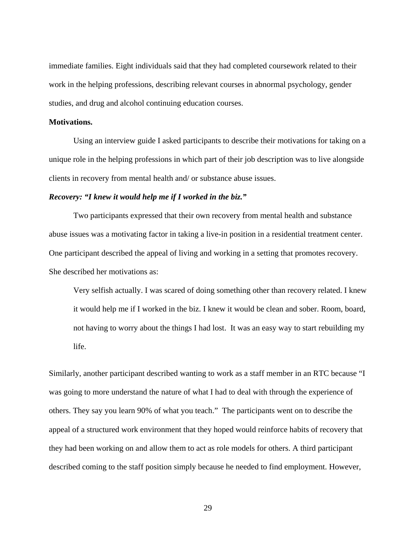immediate families. Eight individuals said that they had completed coursework related to their work in the helping professions, describing relevant courses in abnormal psychology, gender studies, and drug and alcohol continuing education courses.

#### **Motivations.**

Using an interview guide I asked participants to describe their motivations for taking on a unique role in the helping professions in which part of their job description was to live alongside clients in recovery from mental health and/ or substance abuse issues.

#### *Recovery: "I knew it would help me if I worked in the biz."*

Two participants expressed that their own recovery from mental health and substance abuse issues was a motivating factor in taking a live-in position in a residential treatment center. One participant described the appeal of living and working in a setting that promotes recovery. She described her motivations as:

Very selfish actually. I was scared of doing something other than recovery related. I knew it would help me if I worked in the biz. I knew it would be clean and sober. Room, board, not having to worry about the things I had lost. It was an easy way to start rebuilding my life.

Similarly, another participant described wanting to work as a staff member in an RTC because "I was going to more understand the nature of what I had to deal with through the experience of others. They say you learn 90% of what you teach." The participants went on to describe the appeal of a structured work environment that they hoped would reinforce habits of recovery that they had been working on and allow them to act as role models for others. A third participant described coming to the staff position simply because he needed to find employment. However,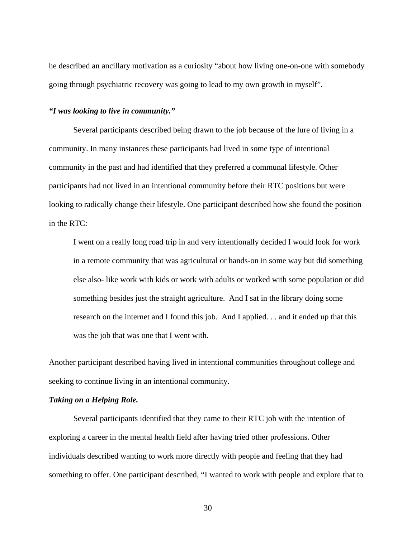he described an ancillary motivation as a curiosity "about how living one-on-one with somebody going through psychiatric recovery was going to lead to my own growth in myself".

#### *"I was looking to live in community."*

Several participants described being drawn to the job because of the lure of living in a community. In many instances these participants had lived in some type of intentional community in the past and had identified that they preferred a communal lifestyle. Other participants had not lived in an intentional community before their RTC positions but were looking to radically change their lifestyle. One participant described how she found the position in the RTC:

I went on a really long road trip in and very intentionally decided I would look for work in a remote community that was agricultural or hands-on in some way but did something else also- like work with kids or work with adults or worked with some population or did something besides just the straight agriculture. And I sat in the library doing some research on the internet and I found this job. And I applied. . . and it ended up that this was the job that was one that I went with.

Another participant described having lived in intentional communities throughout college and seeking to continue living in an intentional community.

## *Taking on a Helping Role.*

Several participants identified that they came to their RTC job with the intention of exploring a career in the mental health field after having tried other professions. Other individuals described wanting to work more directly with people and feeling that they had something to offer. One participant described, "I wanted to work with people and explore that to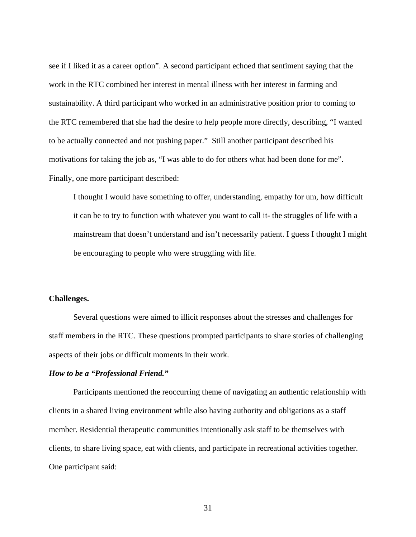see if I liked it as a career option". A second participant echoed that sentiment saying that the work in the RTC combined her interest in mental illness with her interest in farming and sustainability. A third participant who worked in an administrative position prior to coming to the RTC remembered that she had the desire to help people more directly, describing, "I wanted to be actually connected and not pushing paper." Still another participant described his motivations for taking the job as, "I was able to do for others what had been done for me". Finally, one more participant described:

I thought I would have something to offer, understanding, empathy for um, how difficult it can be to try to function with whatever you want to call it- the struggles of life with a mainstream that doesn't understand and isn't necessarily patient. I guess I thought I might be encouraging to people who were struggling with life.

## **Challenges.**

Several questions were aimed to illicit responses about the stresses and challenges for staff members in the RTC. These questions prompted participants to share stories of challenging aspects of their jobs or difficult moments in their work.

## *How to be a "Professional Friend."*

Participants mentioned the reoccurring theme of navigating an authentic relationship with clients in a shared living environment while also having authority and obligations as a staff member. Residential therapeutic communities intentionally ask staff to be themselves with clients, to share living space, eat with clients, and participate in recreational activities together. One participant said: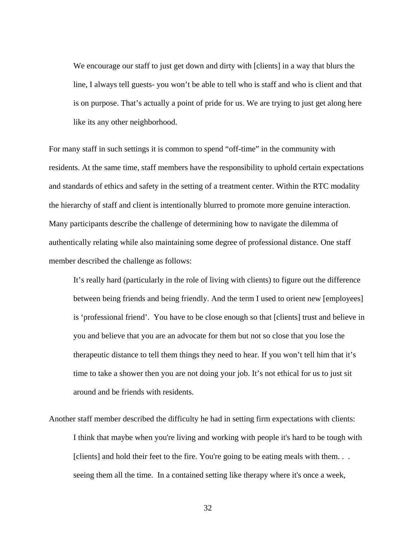We encourage our staff to just get down and dirty with [clients] in a way that blurs the line, I always tell guests- you won't be able to tell who is staff and who is client and that is on purpose. That's actually a point of pride for us. We are trying to just get along here like its any other neighborhood.

For many staff in such settings it is common to spend "off-time" in the community with residents. At the same time, staff members have the responsibility to uphold certain expectations and standards of ethics and safety in the setting of a treatment center. Within the RTC modality the hierarchy of staff and client is intentionally blurred to promote more genuine interaction. Many participants describe the challenge of determining how to navigate the dilemma of authentically relating while also maintaining some degree of professional distance. One staff member described the challenge as follows:

It's really hard (particularly in the role of living with clients) to figure out the difference between being friends and being friendly. And the term I used to orient new [employees] is 'professional friend'. You have to be close enough so that [clients] trust and believe in you and believe that you are an advocate for them but not so close that you lose the therapeutic distance to tell them things they need to hear. If you won't tell him that it's time to take a shower then you are not doing your job. It's not ethical for us to just sit around and be friends with residents.

Another staff member described the difficulty he had in setting firm expectations with clients: I think that maybe when you're living and working with people it's hard to be tough with [clients] and hold their feet to the fire. You're going to be eating meals with them. . . seeing them all the time. In a contained setting like therapy where it's once a week,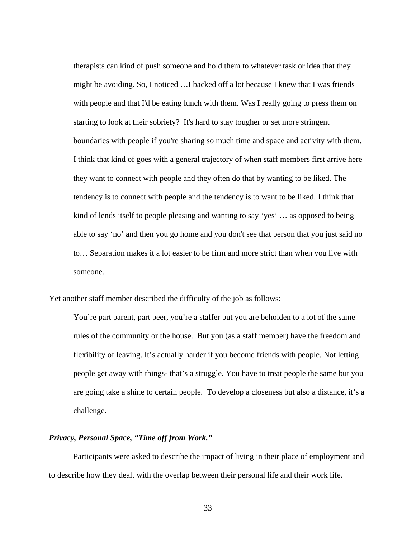therapists can kind of push someone and hold them to whatever task or idea that they might be avoiding. So, I noticed …I backed off a lot because I knew that I was friends with people and that I'd be eating lunch with them. Was I really going to press them on starting to look at their sobriety? It's hard to stay tougher or set more stringent boundaries with people if you're sharing so much time and space and activity with them. I think that kind of goes with a general trajectory of when staff members first arrive here they want to connect with people and they often do that by wanting to be liked. The tendency is to connect with people and the tendency is to want to be liked. I think that kind of lends itself to people pleasing and wanting to say 'yes' … as opposed to being able to say 'no' and then you go home and you don't see that person that you just said no to… Separation makes it a lot easier to be firm and more strict than when you live with someone.

Yet another staff member described the difficulty of the job as follows:

You're part parent, part peer, you're a staffer but you are beholden to a lot of the same rules of the community or the house. But you (as a staff member) have the freedom and flexibility of leaving. It's actually harder if you become friends with people. Not letting people get away with things- that's a struggle. You have to treat people the same but you are going take a shine to certain people. To develop a closeness but also a distance, it's a challenge.

## *Privacy, Personal Space, "Time off from Work."*

Participants were asked to describe the impact of living in their place of employment and to describe how they dealt with the overlap between their personal life and their work life.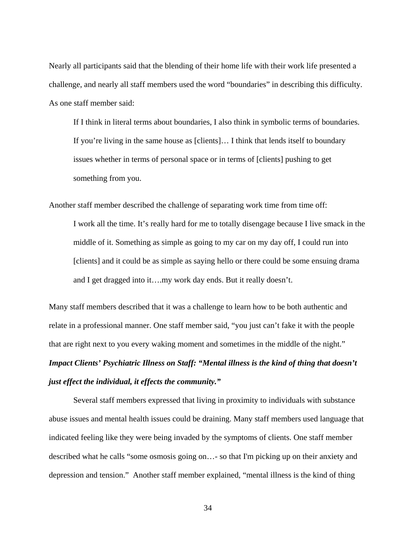Nearly all participants said that the blending of their home life with their work life presented a challenge, and nearly all staff members used the word "boundaries" in describing this difficulty. As one staff member said:

If I think in literal terms about boundaries, I also think in symbolic terms of boundaries. If you're living in the same house as [clients]… I think that lends itself to boundary issues whether in terms of personal space or in terms of [clients] pushing to get something from you.

Another staff member described the challenge of separating work time from time off: I work all the time. It's really hard for me to totally disengage because I live smack in the middle of it. Something as simple as going to my car on my day off, I could run into [clients] and it could be as simple as saying hello or there could be some ensuing drama and I get dragged into it….my work day ends. But it really doesn't.

Many staff members described that it was a challenge to learn how to be both authentic and relate in a professional manner. One staff member said, "you just can't fake it with the people that are right next to you every waking moment and sometimes in the middle of the night." *Impact Clients' Psychiatric Illness on Staff: "Mental illness is the kind of thing that doesn't just effect the individual, it effects the community."* 

Several staff members expressed that living in proximity to individuals with substance abuse issues and mental health issues could be draining. Many staff members used language that indicated feeling like they were being invaded by the symptoms of clients. One staff member described what he calls "some osmosis going on…- so that I'm picking up on their anxiety and depression and tension." Another staff member explained, "mental illness is the kind of thing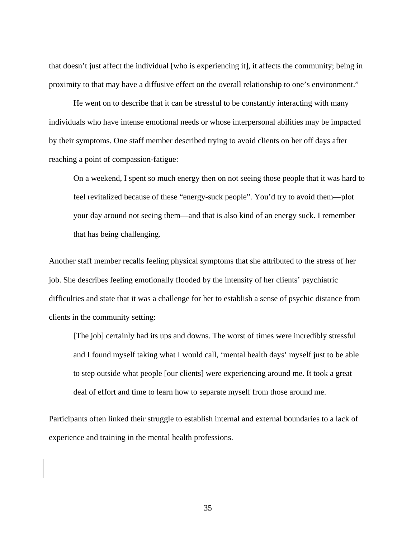that doesn't just affect the individual [who is experiencing it], it affects the community; being in proximity to that may have a diffusive effect on the overall relationship to one's environment."

He went on to describe that it can be stressful to be constantly interacting with many individuals who have intense emotional needs or whose interpersonal abilities may be impacted by their symptoms. One staff member described trying to avoid clients on her off days after reaching a point of compassion-fatigue:

On a weekend, I spent so much energy then on not seeing those people that it was hard to feel revitalized because of these "energy-suck people". You'd try to avoid them—plot your day around not seeing them—and that is also kind of an energy suck. I remember that has being challenging.

Another staff member recalls feeling physical symptoms that she attributed to the stress of her job. She describes feeling emotionally flooded by the intensity of her clients' psychiatric difficulties and state that it was a challenge for her to establish a sense of psychic distance from clients in the community setting:

[The job] certainly had its ups and downs. The worst of times were incredibly stressful and I found myself taking what I would call, 'mental health days' myself just to be able to step outside what people [our clients] were experiencing around me. It took a great deal of effort and time to learn how to separate myself from those around me.

Participants often linked their struggle to establish internal and external boundaries to a lack of experience and training in the mental health professions.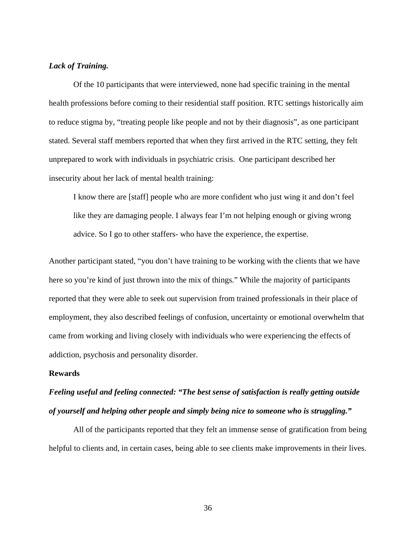## *Lack of Training.*

Of the 10 participants that were interviewed, none had specific training in the mental health professions before coming to their residential staff position. RTC settings historically aim to reduce stigma by, "treating people like people and not by their diagnosis", as one participant stated. Several staff members reported that when they first arrived in the RTC setting, they felt unprepared to work with individuals in psychiatric crisis. One participant described her insecurity about her lack of mental health training:

I know there are [staff] people who are more confident who just wing it and don't feel like they are damaging people. I always fear I'm not helping enough or giving wrong advice. So I go to other staffers- who have the experience, the expertise.

Another participant stated, "you don't have training to be working with the clients that we have here so you're kind of just thrown into the mix of things." While the majority of participants reported that they were able to seek out supervision from trained professionals in their place of employment, they also described feelings of confusion, uncertainty or emotional overwhelm that came from working and living closely with individuals who were experiencing the effects of addiction, psychosis and personality disorder.

## **Rewards**

# *Feeling useful and feeling connected: "The best sense of satisfaction is really getting outside of yourself and helping other people and simply being nice to someone who is struggling."*

All of the participants reported that they felt an immense sense of gratification from being helpful to clients and, in certain cases, being able to see clients make improvements in their lives.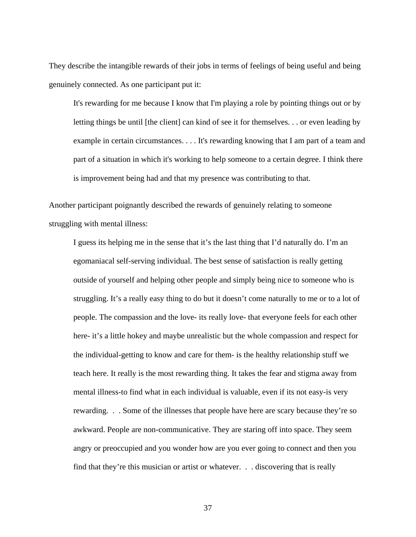They describe the intangible rewards of their jobs in terms of feelings of being useful and being genuinely connected. As one participant put it:

It's rewarding for me because I know that I'm playing a role by pointing things out or by letting things be until [the client] can kind of see it for themselves. . . or even leading by example in certain circumstances. . . . It's rewarding knowing that I am part of a team and part of a situation in which it's working to help someone to a certain degree. I think there is improvement being had and that my presence was contributing to that.

Another participant poignantly described the rewards of genuinely relating to someone struggling with mental illness:

I guess its helping me in the sense that it's the last thing that I'd naturally do. I'm an egomaniacal self-serving individual. The best sense of satisfaction is really getting outside of yourself and helping other people and simply being nice to someone who is struggling. It's a really easy thing to do but it doesn't come naturally to me or to a lot of people. The compassion and the love- its really love- that everyone feels for each other here- it's a little hokey and maybe unrealistic but the whole compassion and respect for the individual-getting to know and care for them- is the healthy relationship stuff we teach here. It really is the most rewarding thing. It takes the fear and stigma away from mental illness-to find what in each individual is valuable, even if its not easy-is very rewarding. . . Some of the illnesses that people have here are scary because they're so awkward. People are non-communicative. They are staring off into space. They seem angry or preoccupied and you wonder how are you ever going to connect and then you find that they're this musician or artist or whatever. . . discovering that is really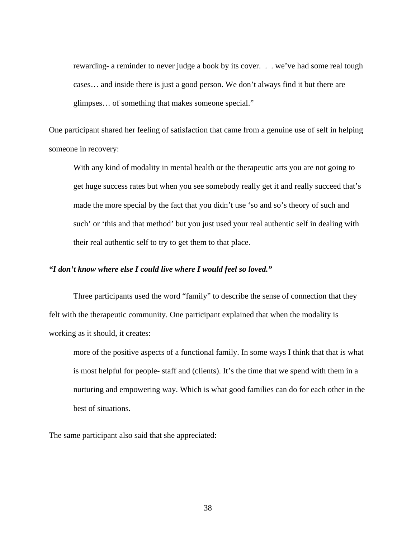rewarding- a reminder to never judge a book by its cover. . . we've had some real tough cases… and inside there is just a good person. We don't always find it but there are glimpses… of something that makes someone special."

One participant shared her feeling of satisfaction that came from a genuine use of self in helping someone in recovery:

With any kind of modality in mental health or the therapeutic arts you are not going to get huge success rates but when you see somebody really get it and really succeed that's made the more special by the fact that you didn't use 'so and so's theory of such and such' or 'this and that method' but you just used your real authentic self in dealing with their real authentic self to try to get them to that place.

## *"I don't know where else I could live where I would feel so loved."*

Three participants used the word "family" to describe the sense of connection that they felt with the therapeutic community. One participant explained that when the modality is working as it should, it creates:

more of the positive aspects of a functional family. In some ways I think that that is what is most helpful for people- staff and (clients). It's the time that we spend with them in a nurturing and empowering way. Which is what good families can do for each other in the best of situations.

The same participant also said that she appreciated: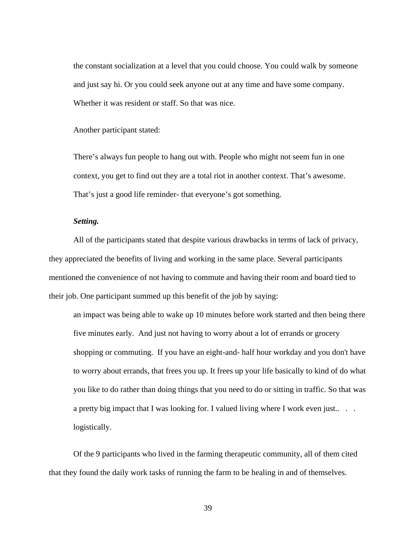the constant socialization at a level that you could choose. You could walk by someone and just say hi. Or you could seek anyone out at any time and have some company. Whether it was resident or staff. So that was nice.

Another participant stated:

There's always fun people to hang out with. People who might not seem fun in one context, you get to find out they are a total riot in another context. That's awesome. That's just a good life reminder- that everyone's got something.

## *Setting.*

All of the participants stated that despite various drawbacks in terms of lack of privacy, they appreciated the benefits of living and working in the same place. Several participants mentioned the convenience of not having to commute and having their room and board tied to their job. One participant summed up this benefit of the job by saying:

an impact was being able to wake up 10 minutes before work started and then being there five minutes early. And just not having to worry about a lot of errands or grocery shopping or commuting. If you have an eight-and- half hour workday and you don't have to worry about errands, that frees you up. It frees up your life basically to kind of do what you like to do rather than doing things that you need to do or sitting in traffic. So that was a pretty big impact that I was looking for. I valued living where I work even just.... logistically.

Of the 9 participants who lived in the farming therapeutic community, all of them cited that they found the daily work tasks of running the farm to be healing in and of themselves.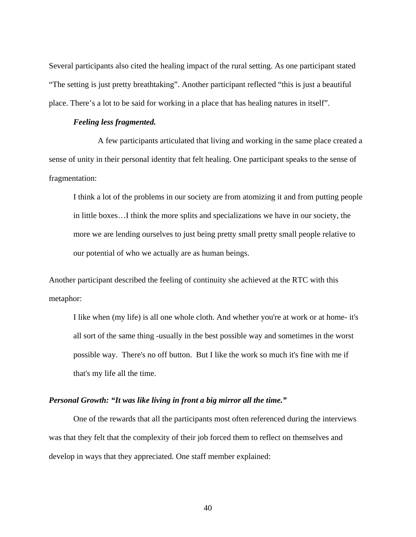Several participants also cited the healing impact of the rural setting. As one participant stated "The setting is just pretty breathtaking". Another participant reflected "this is just a beautiful place. There's a lot to be said for working in a place that has healing natures in itself".

#### *Feeling less fragmented.*

A few participants articulated that living and working in the same place created a sense of unity in their personal identity that felt healing. One participant speaks to the sense of fragmentation:

I think a lot of the problems in our society are from atomizing it and from putting people in little boxes…I think the more splits and specializations we have in our society, the more we are lending ourselves to just being pretty small pretty small people relative to our potential of who we actually are as human beings.

Another participant described the feeling of continuity she achieved at the RTC with this metaphor:

I like when (my life) is all one whole cloth. And whether you're at work or at home- it's all sort of the same thing -usually in the best possible way and sometimes in the worst possible way. There's no off button. But I like the work so much it's fine with me if that's my life all the time.

## *Personal Growth: "It was like living in front a big mirror all the time."*

One of the rewards that all the participants most often referenced during the interviews was that they felt that the complexity of their job forced them to reflect on themselves and develop in ways that they appreciated. One staff member explained: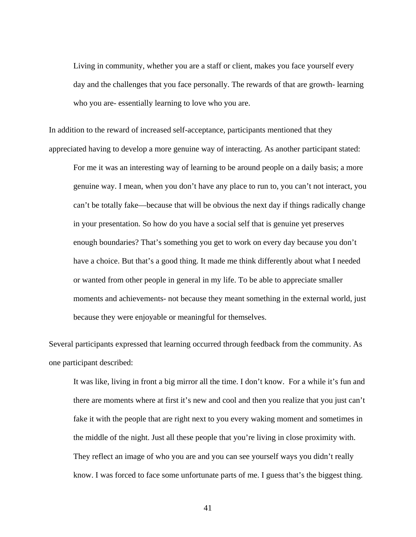Living in community, whether you are a staff or client, makes you face yourself every day and the challenges that you face personally. The rewards of that are growth- learning who you are- essentially learning to love who you are.

In addition to the reward of increased self-acceptance, participants mentioned that they appreciated having to develop a more genuine way of interacting. As another participant stated:

For me it was an interesting way of learning to be around people on a daily basis; a more genuine way. I mean, when you don't have any place to run to, you can't not interact, you can't be totally fake—because that will be obvious the next day if things radically change in your presentation. So how do you have a social self that is genuine yet preserves enough boundaries? That's something you get to work on every day because you don't have a choice. But that's a good thing. It made me think differently about what I needed or wanted from other people in general in my life. To be able to appreciate smaller moments and achievements- not because they meant something in the external world, just because they were enjoyable or meaningful for themselves.

Several participants expressed that learning occurred through feedback from the community. As one participant described:

It was like, living in front a big mirror all the time. I don't know. For a while it's fun and there are moments where at first it's new and cool and then you realize that you just can't fake it with the people that are right next to you every waking moment and sometimes in the middle of the night. Just all these people that you're living in close proximity with. They reflect an image of who you are and you can see yourself ways you didn't really know. I was forced to face some unfortunate parts of me. I guess that's the biggest thing.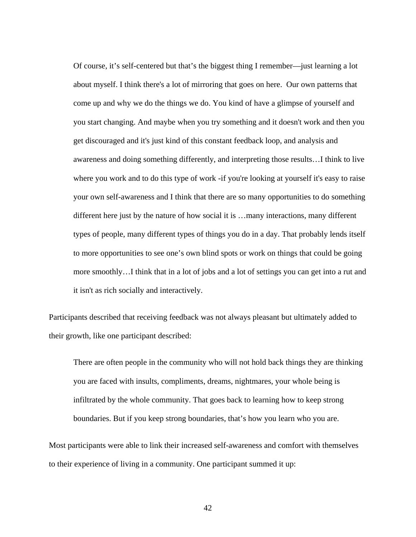Of course, it's self-centered but that's the biggest thing I remember—just learning a lot about myself. I think there's a lot of mirroring that goes on here. Our own patterns that come up and why we do the things we do. You kind of have a glimpse of yourself and you start changing. And maybe when you try something and it doesn't work and then you get discouraged and it's just kind of this constant feedback loop, and analysis and awareness and doing something differently, and interpreting those results…I think to live where you work and to do this type of work -if you're looking at yourself it's easy to raise your own self-awareness and I think that there are so many opportunities to do something different here just by the nature of how social it is …many interactions, many different types of people, many different types of things you do in a day. That probably lends itself to more opportunities to see one's own blind spots or work on things that could be going more smoothly…I think that in a lot of jobs and a lot of settings you can get into a rut and it isn't as rich socially and interactively.

Participants described that receiving feedback was not always pleasant but ultimately added to their growth, like one participant described:

There are often people in the community who will not hold back things they are thinking you are faced with insults, compliments, dreams, nightmares, your whole being is infiltrated by the whole community. That goes back to learning how to keep strong boundaries. But if you keep strong boundaries, that's how you learn who you are.

Most participants were able to link their increased self-awareness and comfort with themselves to their experience of living in a community. One participant summed it up: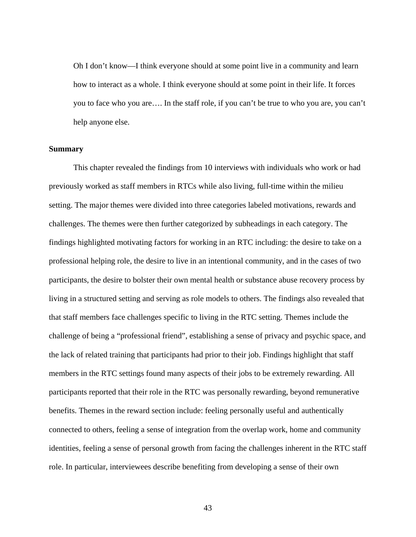Oh I don't know—I think everyone should at some point live in a community and learn how to interact as a whole. I think everyone should at some point in their life. It forces you to face who you are…. In the staff role, if you can't be true to who you are, you can't help anyone else.

#### **Summary**

This chapter revealed the findings from 10 interviews with individuals who work or had previously worked as staff members in RTCs while also living, full-time within the milieu setting. The major themes were divided into three categories labeled motivations, rewards and challenges. The themes were then further categorized by subheadings in each category. The findings highlighted motivating factors for working in an RTC including: the desire to take on a professional helping role, the desire to live in an intentional community, and in the cases of two participants, the desire to bolster their own mental health or substance abuse recovery process by living in a structured setting and serving as role models to others. The findings also revealed that that staff members face challenges specific to living in the RTC setting. Themes include the challenge of being a "professional friend", establishing a sense of privacy and psychic space, and the lack of related training that participants had prior to their job. Findings highlight that staff members in the RTC settings found many aspects of their jobs to be extremely rewarding. All participants reported that their role in the RTC was personally rewarding, beyond remunerative benefits. Themes in the reward section include: feeling personally useful and authentically connected to others, feeling a sense of integration from the overlap work, home and community identities, feeling a sense of personal growth from facing the challenges inherent in the RTC staff role. In particular, interviewees describe benefiting from developing a sense of their own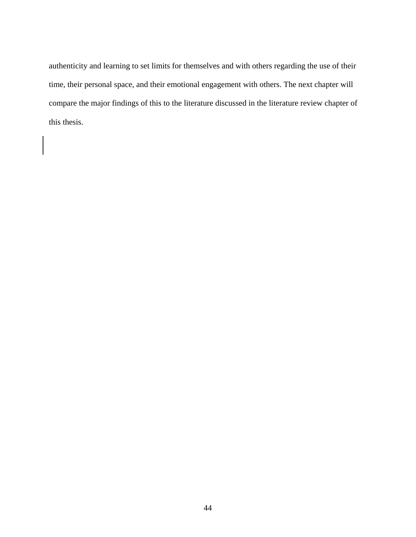authenticity and learning to set limits for themselves and with others regarding the use of their time, their personal space, and their emotional engagement with others. The next chapter will compare the major findings of this to the literature discussed in the literature review chapter of this thesis.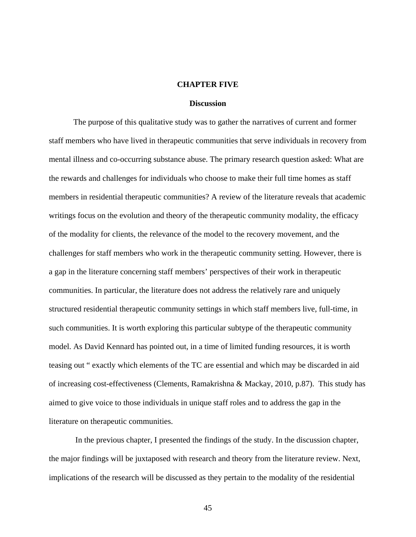#### **CHAPTER FIVE**

#### **Discussion**

 The purpose of this qualitative study was to gather the narratives of current and former staff members who have lived in therapeutic communities that serve individuals in recovery from mental illness and co-occurring substance abuse. The primary research question asked: What are the rewards and challenges for individuals who choose to make their full time homes as staff members in residential therapeutic communities? A review of the literature reveals that academic writings focus on the evolution and theory of the therapeutic community modality, the efficacy of the modality for clients, the relevance of the model to the recovery movement, and the challenges for staff members who work in the therapeutic community setting. However, there is a gap in the literature concerning staff members' perspectives of their work in therapeutic communities. In particular, the literature does not address the relatively rare and uniquely structured residential therapeutic community settings in which staff members live, full-time, in such communities. It is worth exploring this particular subtype of the therapeutic community model. As David Kennard has pointed out, in a time of limited funding resources, it is worth teasing out " exactly which elements of the TC are essential and which may be discarded in aid of increasing cost-effectiveness (Clements, Ramakrishna & Mackay, 2010, p.87). This study has aimed to give voice to those individuals in unique staff roles and to address the gap in the literature on therapeutic communities.

 In the previous chapter, I presented the findings of the study. In the discussion chapter, the major findings will be juxtaposed with research and theory from the literature review. Next, implications of the research will be discussed as they pertain to the modality of the residential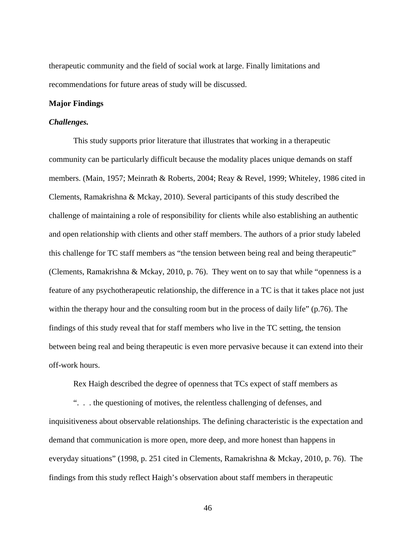therapeutic community and the field of social work at large. Finally limitations and recommendations for future areas of study will be discussed.

#### **Major Findings**

#### *Challenges.*

This study supports prior literature that illustrates that working in a therapeutic community can be particularly difficult because the modality places unique demands on staff members. (Main, 1957; Meinrath & Roberts, 2004; Reay & Revel, 1999; Whiteley, 1986 cited in Clements, Ramakrishna & Mckay, 2010). Several participants of this study described the challenge of maintaining a role of responsibility for clients while also establishing an authentic and open relationship with clients and other staff members. The authors of a prior study labeled this challenge for TC staff members as "the tension between being real and being therapeutic" (Clements, Ramakrishna & Mckay, 2010, p. 76). They went on to say that while "openness is a feature of any psychotherapeutic relationship, the difference in a TC is that it takes place not just within the therapy hour and the consulting room but in the process of daily life" (p.76). The findings of this study reveal that for staff members who live in the TC setting, the tension between being real and being therapeutic is even more pervasive because it can extend into their off-work hours.

Rex Haigh described the degree of openness that TCs expect of staff members as

". . . the questioning of motives, the relentless challenging of defenses, and inquisitiveness about observable relationships. The defining characteristic is the expectation and demand that communication is more open, more deep, and more honest than happens in everyday situations" (1998, p. 251 cited in Clements, Ramakrishna & Mckay, 2010, p. 76). The findings from this study reflect Haigh's observation about staff members in therapeutic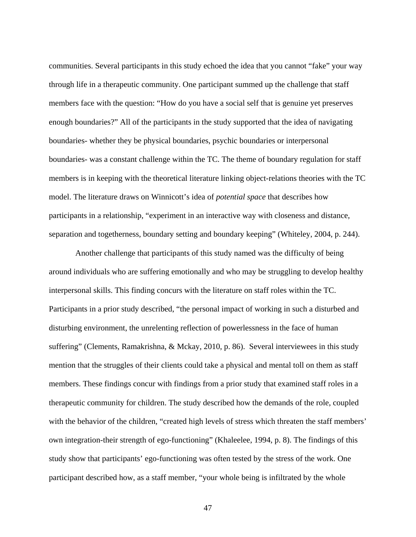communities. Several participants in this study echoed the idea that you cannot "fake" your way through life in a therapeutic community. One participant summed up the challenge that staff members face with the question: "How do you have a social self that is genuine yet preserves enough boundaries?" All of the participants in the study supported that the idea of navigating boundaries- whether they be physical boundaries, psychic boundaries or interpersonal boundaries- was a constant challenge within the TC. The theme of boundary regulation for staff members is in keeping with the theoretical literature linking object-relations theories with the TC model. The literature draws on Winnicott's idea of *potential space* that describes how participants in a relationship, "experiment in an interactive way with closeness and distance, separation and togetherness, boundary setting and boundary keeping" (Whiteley, 2004, p. 244).

 Another challenge that participants of this study named was the difficulty of being around individuals who are suffering emotionally and who may be struggling to develop healthy interpersonal skills. This finding concurs with the literature on staff roles within the TC. Participants in a prior study described, "the personal impact of working in such a disturbed and disturbing environment, the unrelenting reflection of powerlessness in the face of human suffering" (Clements, Ramakrishna, & Mckay, 2010, p. 86). Several interviewees in this study mention that the struggles of their clients could take a physical and mental toll on them as staff members. These findings concur with findings from a prior study that examined staff roles in a therapeutic community for children. The study described how the demands of the role, coupled with the behavior of the children, "created high levels of stress which threaten the staff members' own integration-their strength of ego-functioning" (Khaleelee, 1994, p. 8). The findings of this study show that participants' ego-functioning was often tested by the stress of the work. One participant described how, as a staff member, "your whole being is infiltrated by the whole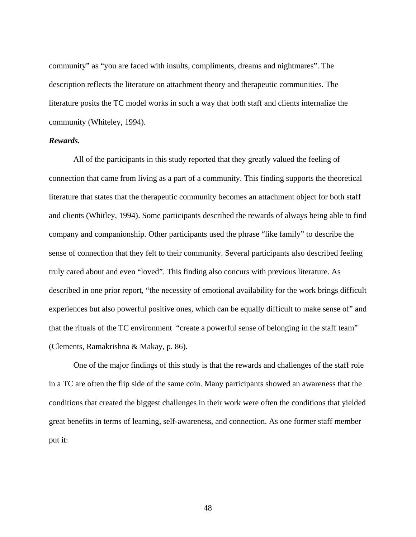community" as "you are faced with insults, compliments, dreams and nightmares". The description reflects the literature on attachment theory and therapeutic communities. The literature posits the TC model works in such a way that both staff and clients internalize the community (Whiteley, 1994).

### *Rewards.*

All of the participants in this study reported that they greatly valued the feeling of connection that came from living as a part of a community. This finding supports the theoretical literature that states that the therapeutic community becomes an attachment object for both staff and clients (Whitley, 1994). Some participants described the rewards of always being able to find company and companionship. Other participants used the phrase "like family" to describe the sense of connection that they felt to their community. Several participants also described feeling truly cared about and even "loved". This finding also concurs with previous literature. As described in one prior report, "the necessity of emotional availability for the work brings difficult experiences but also powerful positive ones, which can be equally difficult to make sense of" and that the rituals of the TC environment "create a powerful sense of belonging in the staff team" (Clements, Ramakrishna & Makay, p. 86).

One of the major findings of this study is that the rewards and challenges of the staff role in a TC are often the flip side of the same coin. Many participants showed an awareness that the conditions that created the biggest challenges in their work were often the conditions that yielded great benefits in terms of learning, self-awareness, and connection. As one former staff member put it: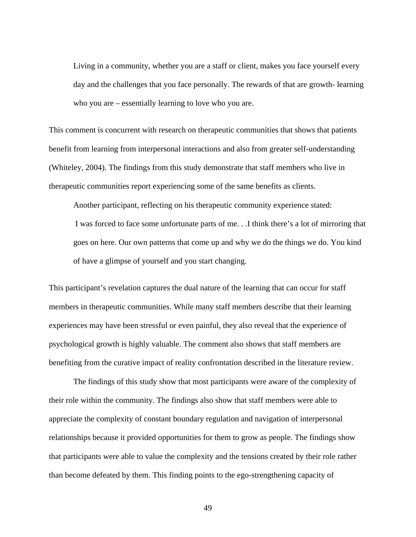Living in a community, whether you are a staff or client, makes you face yourself every day and the challenges that you face personally. The rewards of that are growth- learning who you are – essentially learning to love who you are.

This comment is concurrent with research on therapeutic communities that shows that patients benefit from learning from interpersonal interactions and also from greater self-understanding (Whiteley, 2004). The findings from this study demonstrate that staff members who live in therapeutic communities report experiencing some of the same benefits as clients.

Another participant, reflecting on his therapeutic community experience stated: I was forced to face some unfortunate parts of me. . .I think there's a lot of mirroring that goes on here. Our own patterns that come up and why we do the things we do. You kind of have a glimpse of yourself and you start changing.

This participant's revelation captures the dual nature of the learning that can occur for staff members in therapeutic communities. While many staff members describe that their learning experiences may have been stressful or even painful, they also reveal that the experience of psychological growth is highly valuable. The comment also shows that staff members are benefiting from the curative impact of reality confrontation described in the literature review.

 The findings of this study show that most participants were aware of the complexity of their role within the community. The findings also show that staff members were able to appreciate the complexity of constant boundary regulation and navigation of interpersonal relationships because it provided opportunities for them to grow as people. The findings show that participants were able to value the complexity and the tensions created by their role rather than become defeated by them. This finding points to the ego-strengthening capacity of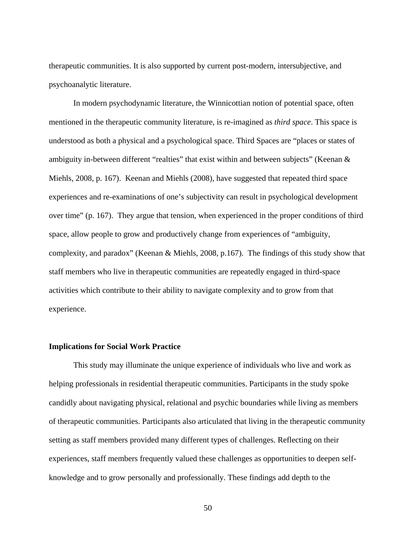therapeutic communities. It is also supported by current post-modern, intersubjective, and psychoanalytic literature.

In modern psychodynamic literature, the Winnicottian notion of potential space, often mentioned in the therapeutic community literature, is re-imagined as *third space*. This space is understood as both a physical and a psychological space. Third Spaces are "places or states of ambiguity in-between different "realties" that exist within and between subjects" (Keenan & Miehls, 2008, p. 167). Keenan and Miehls (2008), have suggested that repeated third space experiences and re-examinations of one's subjectivity can result in psychological development over time" (p. 167). They argue that tension, when experienced in the proper conditions of third space, allow people to grow and productively change from experiences of "ambiguity, complexity, and paradox" (Keenan & Miehls, 2008, p.167). The findings of this study show that staff members who live in therapeutic communities are repeatedly engaged in third-space activities which contribute to their ability to navigate complexity and to grow from that experience.

## **Implications for Social Work Practice**

This study may illuminate the unique experience of individuals who live and work as helping professionals in residential therapeutic communities. Participants in the study spoke candidly about navigating physical, relational and psychic boundaries while living as members of therapeutic communities. Participants also articulated that living in the therapeutic community setting as staff members provided many different types of challenges. Reflecting on their experiences, staff members frequently valued these challenges as opportunities to deepen selfknowledge and to grow personally and professionally. These findings add depth to the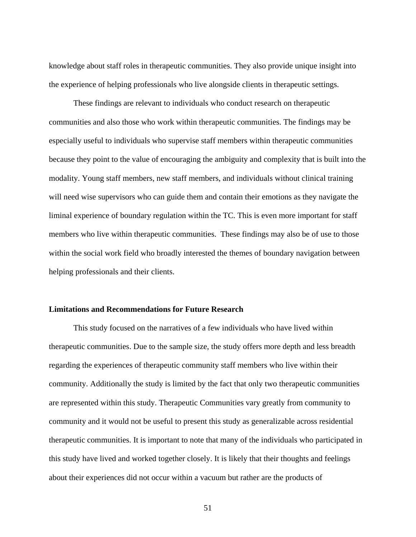knowledge about staff roles in therapeutic communities. They also provide unique insight into the experience of helping professionals who live alongside clients in therapeutic settings.

These findings are relevant to individuals who conduct research on therapeutic communities and also those who work within therapeutic communities. The findings may be especially useful to individuals who supervise staff members within therapeutic communities because they point to the value of encouraging the ambiguity and complexity that is built into the modality. Young staff members, new staff members, and individuals without clinical training will need wise supervisors who can guide them and contain their emotions as they navigate the liminal experience of boundary regulation within the TC. This is even more important for staff members who live within therapeutic communities. These findings may also be of use to those within the social work field who broadly interested the themes of boundary navigation between helping professionals and their clients.

## **Limitations and Recommendations for Future Research**

This study focused on the narratives of a few individuals who have lived within therapeutic communities. Due to the sample size, the study offers more depth and less breadth regarding the experiences of therapeutic community staff members who live within their community. Additionally the study is limited by the fact that only two therapeutic communities are represented within this study. Therapeutic Communities vary greatly from community to community and it would not be useful to present this study as generalizable across residential therapeutic communities. It is important to note that many of the individuals who participated in this study have lived and worked together closely. It is likely that their thoughts and feelings about their experiences did not occur within a vacuum but rather are the products of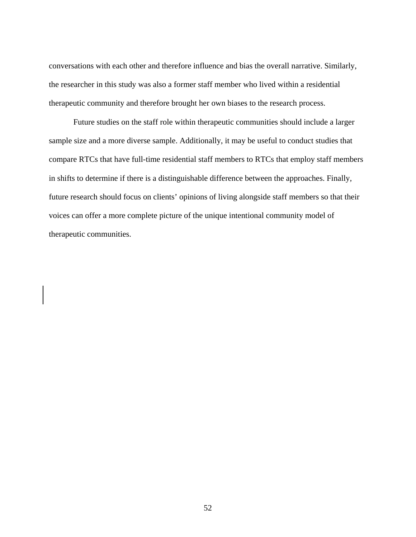conversations with each other and therefore influence and bias the overall narrative. Similarly, the researcher in this study was also a former staff member who lived within a residential therapeutic community and therefore brought her own biases to the research process.

Future studies on the staff role within therapeutic communities should include a larger sample size and a more diverse sample. Additionally, it may be useful to conduct studies that compare RTCs that have full-time residential staff members to RTCs that employ staff members in shifts to determine if there is a distinguishable difference between the approaches. Finally, future research should focus on clients' opinions of living alongside staff members so that their voices can offer a more complete picture of the unique intentional community model of therapeutic communities.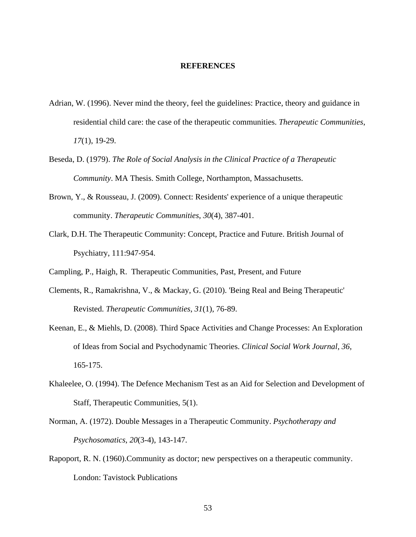#### **REFERENCES**

- Adrian, W. (1996). Never mind the theory, feel the guidelines: Practice, theory and guidance in residential child care: the case of the therapeutic communities. *Therapeutic Communities*, *17*(1), 19-29.
- Beseda, D. (1979). *The Role of Social Analysis in the Clinical Practice of a Therapeutic Community*. MA Thesis. Smith College, Northampton, Massachusetts.
- Brown, Y., & Rousseau, J. (2009). Connect: Residents' experience of a unique therapeutic community. *Therapeutic Communities*, *30*(4), 387-401.
- Clark, D.H. The Therapeutic Community: Concept, Practice and Future. British Journal of Psychiatry, 111:947-954.
- Campling, P., Haigh, R. Therapeutic Communities, Past, Present, and Future
- Clements, R., Ramakrishna, V., & Mackay, G. (2010). 'Being Real and Being Therapeutic' Revisted. *Therapeutic Communities*, *31*(1), 76-89.
- Keenan, E., & Miehls, D. (2008). Third Space Activities and Change Processes: An Exploration of Ideas from Social and Psychodynamic Theories. *Clinical Social Work Journal*, *36*, 165-175.
- Khaleelee, O. (1994). The Defence Mechanism Test as an Aid for Selection and Development of Staff, Therapeutic Communities, 5(1).
- Norman, A. (1972). Double Messages in a Therapeutic Community. *Psychotherapy and Psychosomatics*, *20*(3-4), 143-147.
- Rapoport, R. N. (1960).Community as doctor; new perspectives on a therapeutic community. London: Tavistock Publications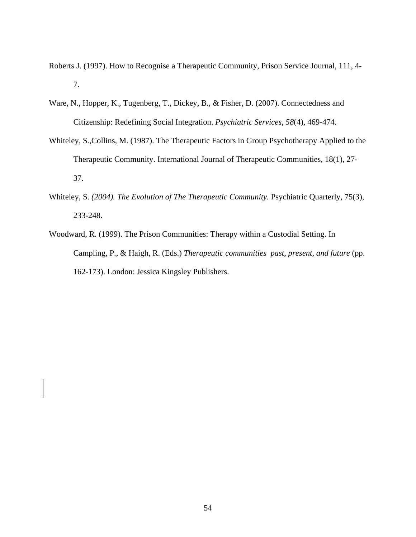- Roberts J. (1997). How to Recognise a Therapeutic Community, Prison Service Journal, 111, 4- 7.
- Ware, N., Hopper, K., Tugenberg, T., Dickey, B., & Fisher, D. (2007). Connectedness and Citizenship: Redefining Social Integration. *Psychiatric Services*, *58*(4), 469-474.
- Whiteley, S.,Collins, M. (1987). The Therapeutic Factors in Group Psychotherapy Applied to the Therapeutic Community. International Journal of Therapeutic Communities, 18(1), 27- 37.
- Whiteley, S. *(2004). The Evolution of The Therapeutic Community.* Psychiatric Quarterly, 75(3), 233-248.
- Woodward, R. (1999). The Prison Communities: Therapy within a Custodial Setting. In Campling, P., & Haigh, R. (Eds.) *Therapeutic communities past, present, and future* (pp. 162-173). London: Jessica Kingsley Publishers.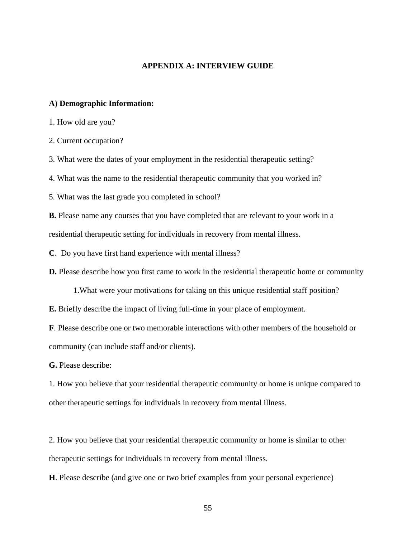### **APPENDIX A: INTERVIEW GUIDE**

### **A) Demographic Information:**

1. How old are you?

2. Current occupation?

3. What were the dates of your employment in the residential therapeutic setting?

4. What was the name to the residential therapeutic community that you worked in?

5. What was the last grade you completed in school?

**B.** Please name any courses that you have completed that are relevant to your work in a residential therapeutic setting for individuals in recovery from mental illness.

**C**. Do you have first hand experience with mental illness?

**D.** Please describe how you first came to work in the residential therapeutic home or community

1.What were your motivations for taking on this unique residential staff position?

**E.** Briefly describe the impact of living full-time in your place of employment.

**F**. Please describe one or two memorable interactions with other members of the household or community (can include staff and/or clients).

**G.** Please describe:

1. How you believe that your residential therapeutic community or home is unique compared to other therapeutic settings for individuals in recovery from mental illness.

2. How you believe that your residential therapeutic community or home is similar to other therapeutic settings for individuals in recovery from mental illness.

**H**. Please describe (and give one or two brief examples from your personal experience)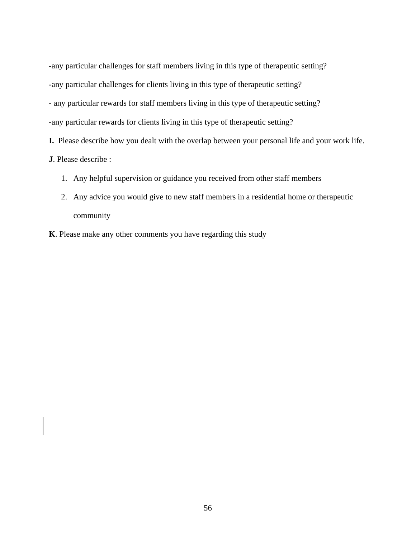-any particular challenges for staff members living in this type of therapeutic setting? -any particular challenges for clients living in this type of therapeutic setting? - any particular rewards for staff members living in this type of therapeutic setting? -any particular rewards for clients living in this type of therapeutic setting?

**I.** Please describe how you dealt with the overlap between your personal life and your work life.

**J**. Please describe :

- 1. Any helpful supervision or guidance you received from other staff members
- 2. Any advice you would give to new staff members in a residential home or therapeutic community
- **K**. Please make any other comments you have regarding this study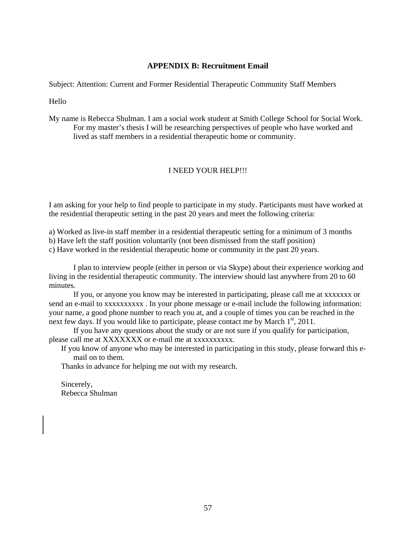## **APPENDIX B: Recruitment Email**

Subject: Attention: Current and Former Residential Therapeutic Community Staff Members

Hello

My name is Rebecca Shulman. I am a social work student at Smith College School for Social Work. For my master's thesis I will be researching perspectives of people who have worked and lived as staff members in a residential therapeutic home or community.

## I NEED YOUR HELP!!!

I am asking for your help to find people to participate in my study. Participants must have worked at the residential therapeutic setting in the past 20 years and meet the following criteria:

a) Worked as live-in staff member in a residential therapeutic setting for a minimum of 3 months

b) Have left the staff position voluntarily (not been dismissed from the staff position)

c) Have worked in the residential therapeutic home or community in the past 20 years.

I plan to interview people (either in person or via Skype) about their experience working and living in the residential therapeutic community. The interview should last anywhere from 20 to 60 minutes.

If you, or anyone you know may be interested in participating, please call me at xxxxxxx or send an e-mail to xxxxxxxxxx . In your phone message or e-mail include the following information: your name, a good phone number to reach you at, and a couple of times you can be reached in the next few days. If you would like to participate, please contact me by March 1<sup>st</sup>, 2011.

If you have any questions about the study or are not sure if you qualify for participation, please call me at XXXXXXX or e-mail me at xxxxxxxxxx.

If you know of anyone who may be interested in participating in this study, please forward this email on to them.

Thanks in advance for helping me out with my research.

Sincerely, Rebecca Shulman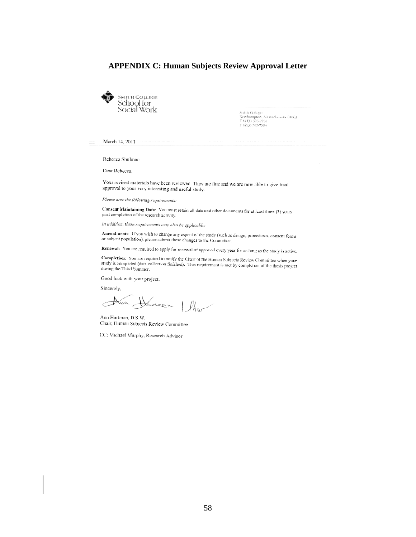## **APPENDIX C: Human Subjects Review Approval Letter**



Smith College<br>Northampton, Massachusetts 01063<br>T (413) 585-7950<br>F (413) 585-7994

March 14, 2011

Rebecca Shulman

Dear Rebecca,

Your revised materials have been reviewed. They are fine and we are now able to give final approval to your very interesting and useful study.

Please note the following requirements:

Consent Maintaining Data: You must retain all data and other documents for at least three (3) years past completion of the research activity.

In addition, these requirements may also be applicable:

Amendments: If you wish to change any aspect of the study (such as design, procedures, consent forms or subject population), please submit these changes to the Committee,

Renewal: You are required to apply for renewal of approval every year for as long as the study is active.

**Completion:** You are required to notify the Chair of the Human Subjects Review Committee when your study is completed (data collection finished). This requirement is met by completion of the thesis project<br>during the Third Summer during the Third Summer.

Good luck with your project.

Sincerely,

Non Human Ihr

Ann Hartman, D.S.W. Chair, Human Subjects Review Committee

CC: Michael Murphy, Research Advisor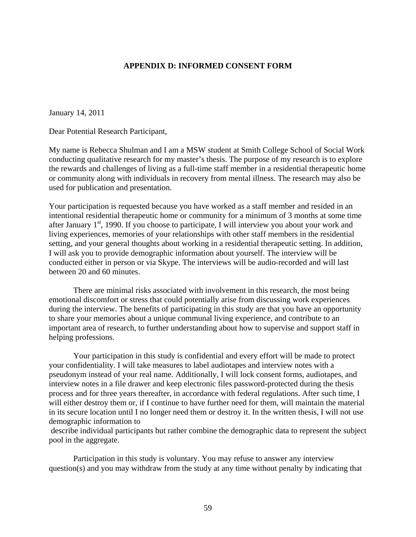## **APPENDIX D: INFORMED CONSENT FORM**

January 14, 2011

Dear Potential Research Participant,

My name is Rebecca Shulman and I am a MSW student at Smith College School of Social Work conducting qualitative research for my master's thesis. The purpose of my research is to explore the rewards and challenges of living as a full-time staff member in a residential therapeutic home or community along with individuals in recovery from mental illness. The research may also be used for publication and presentation.

Your participation is requested because you have worked as a staff member and resided in an intentional residential therapeutic home or community for a minimum of 3 months at some time after January  $1<sup>st</sup>$ , 1990. If you choose to participate, I will interview you about your work and living experiences, memories of your relationships with other staff members in the residential setting, and your general thoughts about working in a residential therapeutic setting. In addition, I will ask you to provide demographic information about yourself. The interview will be conducted either in person or via Skype. The interviews will be audio-recorded and will last between 20 and 60 minutes.

 There are minimal risks associated with involvement in this research, the most being emotional discomfort or stress that could potentially arise from discussing work experiences during the interview. The benefits of participating in this study are that you have an opportunity to share your memories about a unique communal living experience, and contribute to an important area of research, to further understanding about how to supervise and support staff in helping professions.

 Your participation in this study is confidential and every effort will be made to protect your confidentiality. I will take measures to label audiotapes and interview notes with a pseudonym instead of your real name. Additionally, I will lock consent forms, audiotapes, and interview notes in a file drawer and keep electronic files password-protected during the thesis process and for three years thereafter, in accordance with federal regulations. After such time, I will either destroy them or, if I continue to have further need for them, will maintain the material in its secure location until I no longer need them or destroy it. In the written thesis, I will not use demographic information to

 describe individual participants but rather combine the demographic data to represent the subject pool in the aggregate.

Participation in this study is voluntary. You may refuse to answer any interview question(s) and you may withdraw from the study at any time without penalty by indicating that